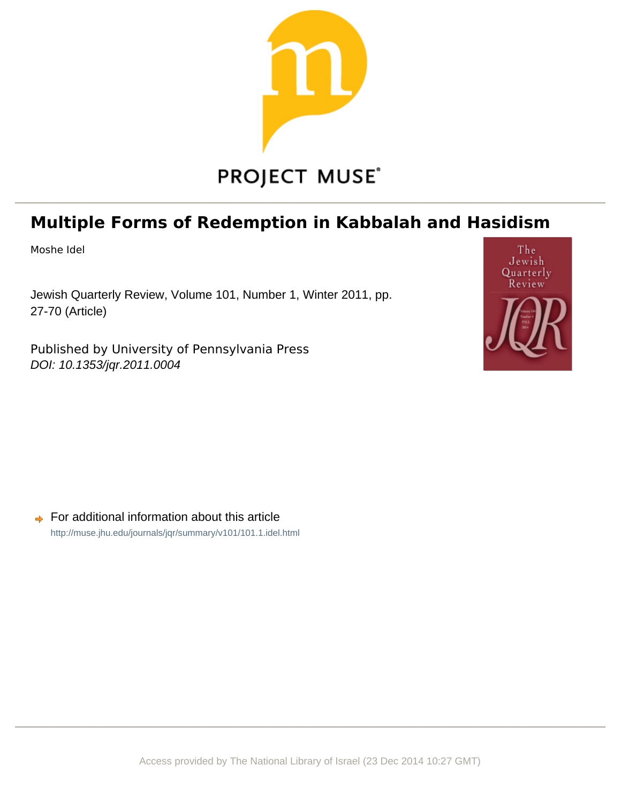

# **Multiple Forms of Redemption in Kabbalah and Hasidism**

Moshe Idel

Jewish Quarterly Review, Volume 101, Number 1, Winter 2011, pp. 27-70 (Article)

Published by University of Pennsylvania Press DOI: 10.1353/jqr.2011.0004



For additional information about this article  $\Rightarrow$ <http://muse.jhu.edu/journals/jqr/summary/v101/101.1.idel.html>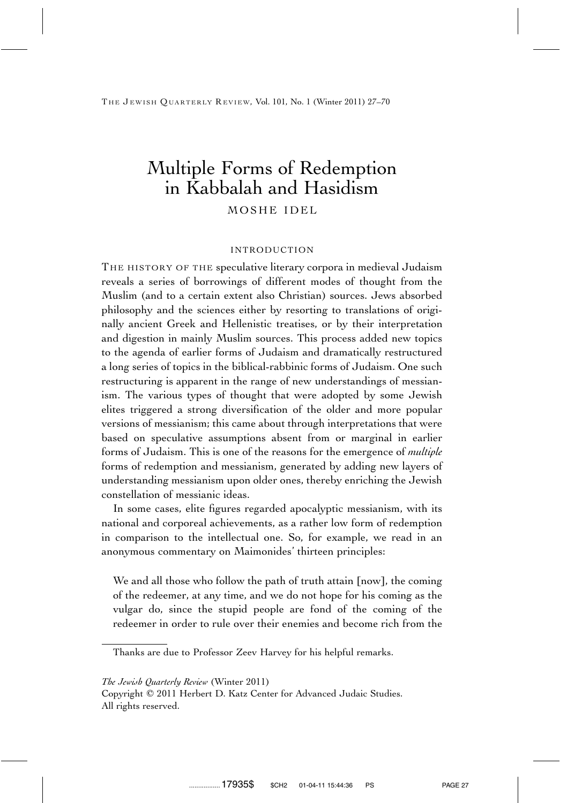## Multiple Forms of Redemption in Kabbalah and Hasidism MOSHE IDEL

#### INTRODUCTION

THE HISTORY OF THE speculative literary corpora in medieval Judaism reveals a series of borrowings of different modes of thought from the Muslim (and to a certain extent also Christian) sources. Jews absorbed philosophy and the sciences either by resorting to translations of originally ancient Greek and Hellenistic treatises, or by their interpretation and digestion in mainly Muslim sources. This process added new topics to the agenda of earlier forms of Judaism and dramatically restructured a long series of topics in the biblical-rabbinic forms of Judaism. One such restructuring is apparent in the range of new understandings of messianism. The various types of thought that were adopted by some Jewish elites triggered a strong diversification of the older and more popular versions of messianism; this came about through interpretations that were based on speculative assumptions absent from or marginal in earlier forms of Judaism. This is one of the reasons for the emergence of *multiple* forms of redemption and messianism, generated by adding new layers of understanding messianism upon older ones, thereby enriching the Jewish constellation of messianic ideas.

In some cases, elite figures regarded apocalyptic messianism, with its national and corporeal achievements, as a rather low form of redemption in comparison to the intellectual one. So, for example, we read in an anonymous commentary on Maimonides' thirteen principles:

We and all those who follow the path of truth attain [now], the coming of the redeemer, at any time, and we do not hope for his coming as the vulgar do, since the stupid people are fond of the coming of the redeemer in order to rule over their enemies and become rich from the

Thanks are due to Professor Zeev Harvey for his helpful remarks.

*The Jewish Quarterly Review* (Winter 2011)

Copyright © 2011 Herbert D. Katz Center for Advanced Judaic Studies. All rights reserved.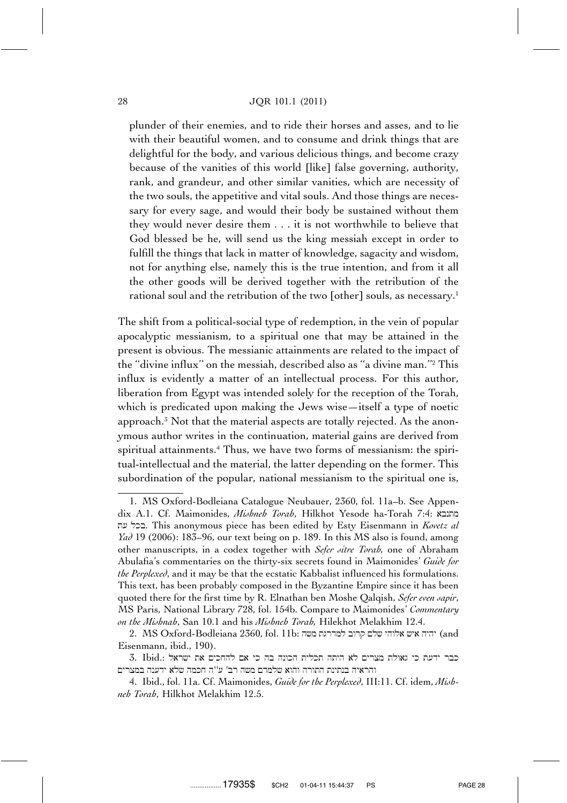#### 28 JQR 101.1 (2011)

plunder of their enemies, and to ride their horses and asses, and to lie with their beautiful women, and to consume and drink things that are delightful for the body, and various delicious things, and become crazy because of the vanities of this world [like] false governing, authority, rank, and grandeur, and other similar vanities, which are necessity of the two souls, the appetitive and vital souls. And those things are necessary for every sage, and would their body be sustained without them they would never desire them . . . it is not worthwhile to believe that God blessed be he, will send us the king messiah except in order to fulfill the things that lack in matter of knowledge, sagacity and wisdom, not for anything else, namely this is the true intention, and from it all the other goods will be derived together with the retribution of the rational soul and the retribution of the two [other] souls, as necessary.<sup>1</sup>

The shift from a political-social type of redemption, in the vein of popular apocalyptic messianism, to a spiritual one that may be attained in the present is obvious. The messianic attainments are related to the impact of the ''divine influx'' on the messiah, described also as ''a divine man.''2 This influx is evidently a matter of an intellectual process. For this author, liberation from Egypt was intended solely for the reception of the Torah, which is predicated upon making the Jews wise—itself a type of noetic approach.3 Not that the material aspects are totally rejected. As the anonymous author writes in the continuation, material gains are derived from spiritual attainments.<sup>4</sup> Thus, we have two forms of messianism: the spiritual-intellectual and the material, the latter depending on the former. This subordination of the popular, national messianism to the spiritual one is,

2. MS Oxford-Bodleiana 2360, fol. 11b: יהיה איש אלוהי שלם קרוב למדרגת משה Eisenmann, ibid., 190).

<sup>1.</sup> MS Oxford-Bodleiana Catalogue Neubauer, 2360, fol. 11a–b. See Appendix A.1. Cf. Maimonides, *Mishneh Torah*, Hilkhot Yesode ha-Torah 7:4: מתנבא t[ lkb. This anonymous piece has been edited by Esty Eisenmann in *Kovetz al Yad* 19 (2006): 183–96, our text being on p. 189. In this MS also is found, among other manuscripts, in a codex together with *Sefer sitre Torah,* one of Abraham Abulafia's commentaries on the thirty-six secrets found in Maimonides' *Guide for the Perplexed*, and it may be that the ecstatic Kabbalist influenced his formulations. This text, has been probably composed in the Byzantine Empire since it has been quoted there for the first time by R. Elnathan ben Moshe Qalqish, *Sefer even sapir*, MS Paris, National Library 728, fol. 154b. Compare to Maimonides' *Commentary on the Mishnah*, San 10.1 and his *Mishneh Torah,* Hilekhot Melakhim 12.4.

<sup>3.</sup> Ibid.: כבר ידעת כי גאולת מצרים לא היתה תכלית הכונה בה כי אם להחכים את ישראל והראיה בנתינת התורה והוא שלמדם משה רב' ע"ה חכמה שלא ידענה במצרים

<sup>4.</sup> Ibid., fol. 11a. Cf. Maimonides, *Guide for the Perplexed*, III:11. Cf. idem, *Mishneh Torah*, Hilkhot Melakhim 12.5.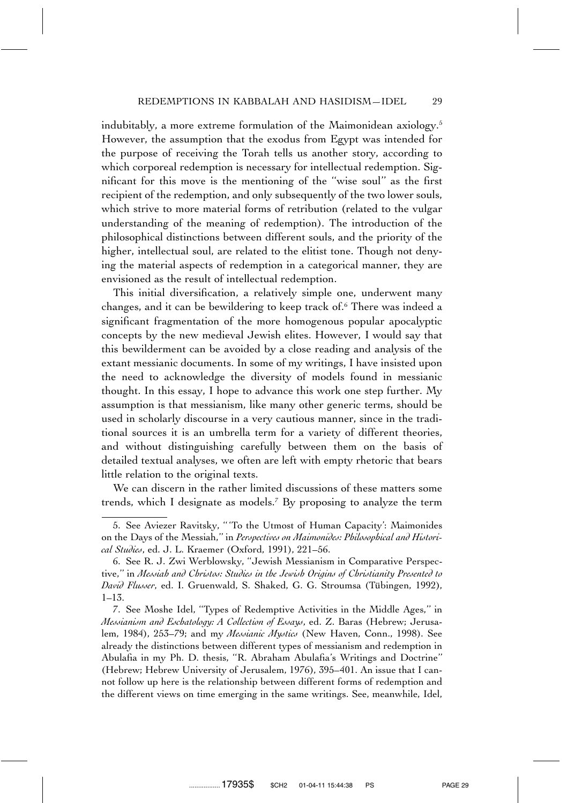indubitably, a more extreme formulation of the Maimonidean axiology.5 However, the assumption that the exodus from Egypt was intended for the purpose of receiving the Torah tells us another story, according to which corporeal redemption is necessary for intellectual redemption. Significant for this move is the mentioning of the ''wise soul'' as the first recipient of the redemption, and only subsequently of the two lower souls, which strive to more material forms of retribution (related to the vulgar understanding of the meaning of redemption). The introduction of the philosophical distinctions between different souls, and the priority of the higher, intellectual soul, are related to the elitist tone. Though not denying the material aspects of redemption in a categorical manner, they are envisioned as the result of intellectual redemption.

This initial diversification, a relatively simple one, underwent many changes, and it can be bewildering to keep track of.6 There was indeed a significant fragmentation of the more homogenous popular apocalyptic concepts by the new medieval Jewish elites. However, I would say that this bewilderment can be avoided by a close reading and analysis of the extant messianic documents. In some of my writings, I have insisted upon the need to acknowledge the diversity of models found in messianic thought. In this essay, I hope to advance this work one step further. My assumption is that messianism, like many other generic terms, should be used in scholarly discourse in a very cautious manner, since in the traditional sources it is an umbrella term for a variety of different theories, and without distinguishing carefully between them on the basis of detailed textual analyses, we often are left with empty rhetoric that bears little relation to the original texts.

We can discern in the rather limited discussions of these matters some trends, which I designate as models.7 By proposing to analyze the term

<sup>5.</sup> See Aviezer Ravitsky, '' 'To the Utmost of Human Capacity': Maimonides on the Days of the Messiah,'' in *Perspectives on Maimonides: Philosophical and Historical Studies*, ed. J. L. Kraemer (Oxford, 1991), 221–56.

<sup>6.</sup> See R. J. Zwi Werblowsky, ''Jewish Messianism in Comparative Perspective,'' in *Messiah and Christos: Studies in the Jewish Origins of Christianity Presented to* David Flusser, ed. I. Gruenwald, S. Shaked, G. G. Stroumsa (Tübingen, 1992), 1–13.

<sup>7.</sup> See Moshe Idel, ''Types of Redemptive Activities in the Middle Ages,'' in *Messianism and Eschatology: A Collection of Essays*, ed. Z. Baras (Hebrew; Jerusalem, 1984), 253–79; and my *Messianic Mystics* (New Haven, Conn., 1998). See already the distinctions between different types of messianism and redemption in Abulafia in my Ph. D. thesis, ''R. Abraham Abulafia's Writings and Doctrine'' (Hebrew; Hebrew University of Jerusalem, 1976), 395–401. An issue that I cannot follow up here is the relationship between different forms of redemption and the different views on time emerging in the same writings. See, meanwhile, Idel,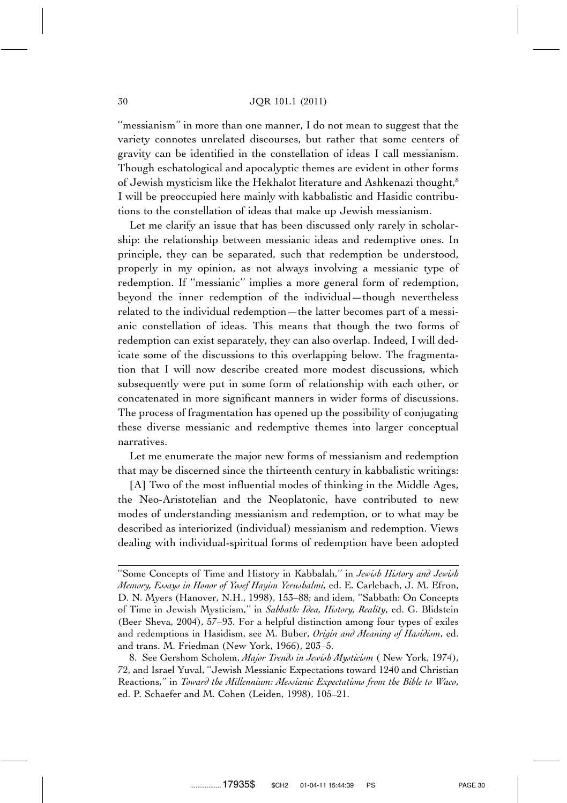#### 30 JQR 101.1 (2011)

''messianism'' in more than one manner, I do not mean to suggest that the variety connotes unrelated discourses, but rather that some centers of gravity can be identified in the constellation of ideas I call messianism. Though eschatological and apocalyptic themes are evident in other forms of Jewish mysticism like the Hekhalot literature and Ashkenazi thought,<sup>8</sup> I will be preoccupied here mainly with kabbalistic and Hasidic contributions to the constellation of ideas that make up Jewish messianism.

Let me clarify an issue that has been discussed only rarely in scholarship: the relationship between messianic ideas and redemptive ones. In principle, they can be separated, such that redemption be understood, properly in my opinion, as not always involving a messianic type of redemption. If ''messianic'' implies a more general form of redemption, beyond the inner redemption of the individual—though nevertheless related to the individual redemption—the latter becomes part of a messianic constellation of ideas. This means that though the two forms of redemption can exist separately, they can also overlap. Indeed, I will dedicate some of the discussions to this overlapping below. The fragmentation that I will now describe created more modest discussions, which subsequently were put in some form of relationship with each other, or concatenated in more significant manners in wider forms of discussions. The process of fragmentation has opened up the possibility of conjugating these diverse messianic and redemptive themes into larger conceptual narratives.

Let me enumerate the major new forms of messianism and redemption that may be discerned since the thirteenth century in kabbalistic writings:

[A] Two of the most influential modes of thinking in the Middle Ages, the Neo-Aristotelian and the Neoplatonic, have contributed to new modes of understanding messianism and redemption, or to what may be described as interiorized (individual) messianism and redemption. Views dealing with individual-spiritual forms of redemption have been adopted

<sup>&#</sup>x27;'Some Concepts of Time and History in Kabbalah,'' in *Jewish History and Jewish Memory, Essays in Honor of Yosef Hayim Yerushalmi,* ed. E. Carlebach, J. M. Efron, D. N. Myers (Hanover, N.H., 1998), 153–88; and idem, ''Sabbath: On Concepts of Time in Jewish Mysticism,'' in *Sabbath: Idea, History, Reality*, ed. G. Blidstein (Beer Sheva, 2004), 57–93. For a helpful distinction among four types of exiles and redemptions in Hasidism, see M. Buber, *Origin and Meaning of Hasidism*, ed. and trans. M. Friedman (New York, 1966), 203–5.

<sup>8.</sup> See Gershom Scholem, *Major Trends in Jewish Mysticism* ( New York, 1974), 72, and Israel Yuval, ''Jewish Messianic Expectations toward 1240 and Christian Reactions,'' in *Toward the Millennium: Messianic Expectations from the Bible to Waco*, ed. P. Schaefer and M. Cohen (Leiden, 1998), 105–21.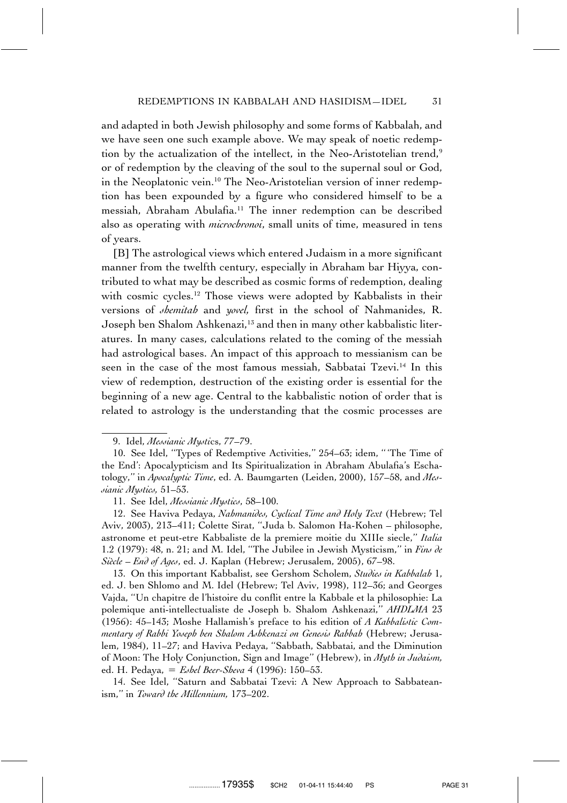and adapted in both Jewish philosophy and some forms of Kabbalah, and we have seen one such example above. We may speak of noetic redemption by the actualization of the intellect, in the Neo-Aristotelian trend,<sup>9</sup> or of redemption by the cleaving of the soul to the supernal soul or God, in the Neoplatonic vein.10 The Neo-Aristotelian version of inner redemption has been expounded by a figure who considered himself to be a messiah, Abraham Abulafia.11 The inner redemption can be described also as operating with *microchronoi*, small units of time, measured in tens of years.

[B] The astrological views which entered Judaism in a more significant manner from the twelfth century, especially in Abraham bar Hiyya, contributed to what may be described as cosmic forms of redemption, dealing with cosmic cycles.<sup>12</sup> Those views were adopted by Kabbalists in their versions of *shemitah* and *yovel,* first in the school of Nahmanides, R. Joseph ben Shalom Ashkenazi,13 and then in many other kabbalistic literatures. In many cases, calculations related to the coming of the messiah had astrological bases. An impact of this approach to messianism can be seen in the case of the most famous messiah, Sabbatai Tzevi.<sup>14</sup> In this view of redemption, destruction of the existing order is essential for the beginning of a new age. Central to the kabbalistic notion of order that is related to astrology is the understanding that the cosmic processes are

12. See Haviva Pedaya, *Nahmanides, Cyclical Time and Holy Text* (Hebrew; Tel Aviv, 2003), 213–411; Colette Sirat, ''Juda b. Salomon Ha-Kohen – philosophe, astronome et peut-etre Kabbaliste de la premiere moitie du XIIIe siecle,'' *Italia* 1.2 (1979): 48, n. 21; and M. Idel, ''The Jubilee in Jewish Mysticism,'' in *Fins de Sie`cle – End of Ages*, ed. J. Kaplan (Hebrew; Jerusalem, 2005), 67–98.

13. On this important Kabbalist, see Gershom Scholem, *Studies in Kabbalah* 1, ed. J. ben Shlomo and M. Idel (Hebrew; Tel Aviv, 1998), 112–36; and Georges Vajda, ''Un chapitre de l'histoire du conflit entre la Kabbale et la philosophie: La polemique anti-intellectualiste de Joseph b. Shalom Ashkenazi,'' *AHDLMA* 23 (1956): 45–143; Moshe Hallamish's preface to his edition of *A Kabbalistic Commentary of Rabbi Yoseph ben Shalom Ashkenazi on Genesis Rabbah* (Hebrew; Jerusalem, 1984), 11–27; and Haviva Pedaya, ''Sabbath, Sabbatai, and the Diminution of Moon: The Holy Conjunction, Sign and Image'' (Hebrew), in *Myth in Judaism,* ed. H. Pedaya, *Eshel Beer-Sheva* 4 (1996): 150–53.

14. See Idel, ''Saturn and Sabbatai Tzevi: A New Approach to Sabbateanism,'' in *Toward the Millennium,* 173–202.

<sup>9.</sup> Idel, *Messianic Mysti*cs, 77–79.

<sup>10.</sup> See Idel, ''Types of Redemptive Activities,'' 254–63; idem, '' 'The Time of the End': Apocalypticism and Its Spiritualization in Abraham Abulafia's Eschatology,'' in *Apocalyptic Time*, ed. A. Baumgarten (Leiden, 2000), 157–58, and *Messianic Mystics,* 51–53.

<sup>11.</sup> See Idel, *Messianic Mystics*, 58–100.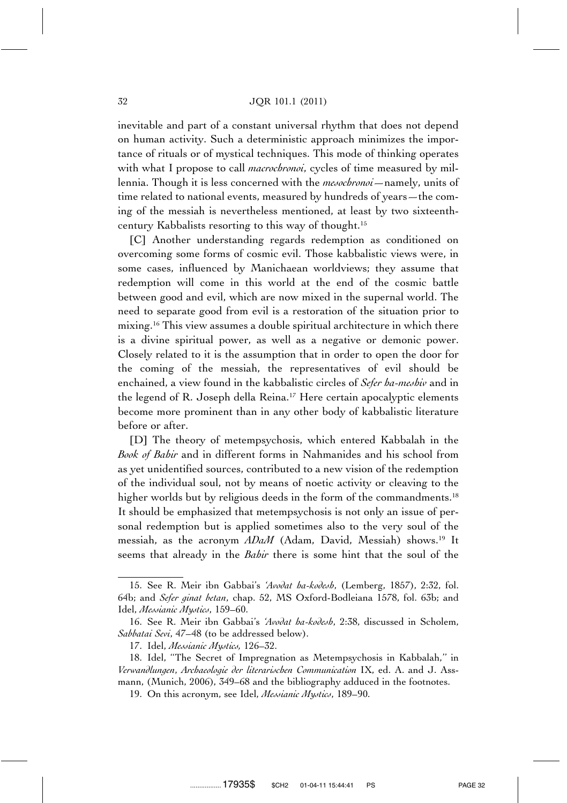#### 32 JQR 101.1 (2011)

inevitable and part of a constant universal rhythm that does not depend on human activity. Such a deterministic approach minimizes the importance of rituals or of mystical techniques. This mode of thinking operates with what I propose to call *macrochronoi*, cycles of time measured by millennia. Though it is less concerned with the *mesochronoi*—namely, units of time related to national events, measured by hundreds of years—the coming of the messiah is nevertheless mentioned, at least by two sixteenthcentury Kabbalists resorting to this way of thought.15

[C] Another understanding regards redemption as conditioned on overcoming some forms of cosmic evil. Those kabbalistic views were, in some cases, influenced by Manichaean worldviews; they assume that redemption will come in this world at the end of the cosmic battle between good and evil, which are now mixed in the supernal world. The need to separate good from evil is a restoration of the situation prior to mixing.16 This view assumes a double spiritual architecture in which there is a divine spiritual power, as well as a negative or demonic power. Closely related to it is the assumption that in order to open the door for the coming of the messiah, the representatives of evil should be enchained, a view found in the kabbalistic circles of *Sefer ha-meshiv* and in the legend of R. Joseph della Reina.17 Here certain apocalyptic elements become more prominent than in any other body of kabbalistic literature before or after.

[D] The theory of metempsychosis, which entered Kabbalah in the *Book of Bahir* and in different forms in Nahmanides and his school from as yet unidentified sources, contributed to a new vision of the redemption of the individual soul, not by means of noetic activity or cleaving to the higher worlds but by religious deeds in the form of the commandments.<sup>18</sup> It should be emphasized that metempsychosis is not only an issue of personal redemption but is applied sometimes also to the very soul of the messiah, as the acronym *ADaM* (Adam, David, Messiah) shows.<sup>19</sup> It seems that already in the *Bahir* there is some hint that the soul of the

<sup>15.</sup> See R. Meir ibn Gabbai's *'Avodat ha-kodesh*, (Lemberg, 1857), 2:32, fol. 64b; and *Sefer ginat betan*, chap. 52, MS Oxford-Bodleiana 1578, fol. 63b; and Idel, *Messianic Mystics*, 159–60.

<sup>16.</sup> See R. Meir ibn Gabbai's *'Avodat ha-kodesh*, 2:38, discussed in Scholem, *Sabbatai Sevi*, 47–48 (to be addressed below).

<sup>17.</sup> Idel, *Messianic Mystics,* 126–32.

<sup>18.</sup> Idel, ''The Secret of Impregnation as Metempsychosis in Kabbalah,'' in *Verwandlungen*, *Archaeologie der literarischen Communication* IX, ed. A. and J. Assmann, (Munich, 2006), 349–68 and the bibliography adduced in the footnotes.

<sup>19.</sup> On this acronym, see Idel, *Messianic Mystics*, 189–90.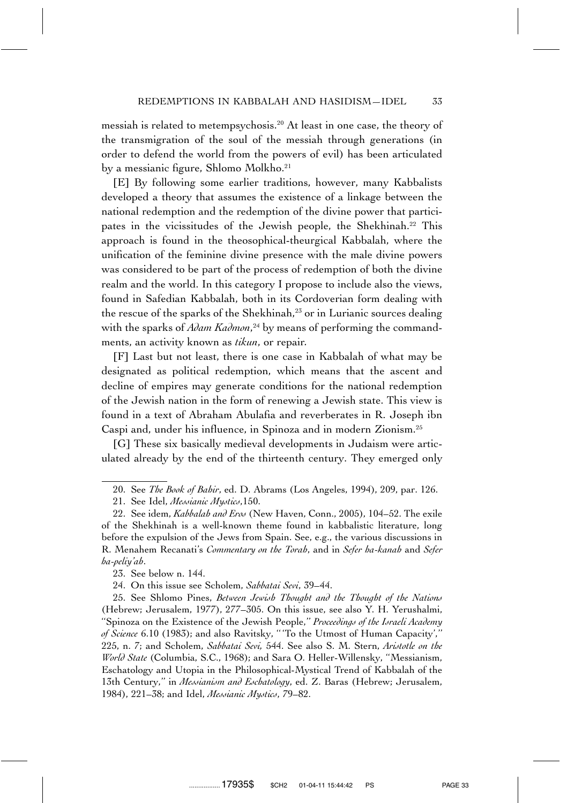messiah is related to metempsychosis.20 At least in one case, the theory of the transmigration of the soul of the messiah through generations (in order to defend the world from the powers of evil) has been articulated by a messianic figure, Shlomo Molkho.21

[E] By following some earlier traditions, however, many Kabbalists developed a theory that assumes the existence of a linkage between the national redemption and the redemption of the divine power that participates in the vicissitudes of the Jewish people, the Shekhinah.22 This approach is found in the theosophical-theurgical Kabbalah, where the unification of the feminine divine presence with the male divine powers was considered to be part of the process of redemption of both the divine realm and the world. In this category I propose to include also the views, found in Safedian Kabbalah, both in its Cordoverian form dealing with the rescue of the sparks of the Shekhinah,<sup>23</sup> or in Lurianic sources dealing with the sparks of *Adam Kadmon*, <sup>24</sup> by means of performing the commandments, an activity known as *tikun*, or repair*.*

[F] Last but not least, there is one case in Kabbalah of what may be designated as political redemption, which means that the ascent and decline of empires may generate conditions for the national redemption of the Jewish nation in the form of renewing a Jewish state. This view is found in a text of Abraham Abulafia and reverberates in R. Joseph ibn Caspi and, under his influence, in Spinoza and in modern Zionism.25

[G] These six basically medieval developments in Judaism were articulated already by the end of the thirteenth century. They emerged only

23. See below n. 144.

24. On this issue see Scholem, *Sabbatai Sevi*, 39–44.

25. See Shlomo Pines, *Between Jewish Thought and the Thought of the Nations* (Hebrew; Jerusalem, 1977), 277–305. On this issue, see also Y. H. Yerushalmi, ''Spinoza on the Existence of the Jewish People,'' *Proceedings of the Israeli Academy of Science* 6.10 (1983); and also Ravitsky, '' 'To the Utmost of Human Capacity','' 225, n. 7; and Scholem, *Sabbatai Sevi,* 544. See also S. M. Stern, *Aristotle on the World State* (Columbia, S.C., 1968); and Sara O. Heller-Willensky, ''Messianism, Eschatology and Utopia in the Philosophical-Mystical Trend of Kabbalah of the 13th Century,'' in *Messianism and Eschatology*, ed. Z. Baras (Hebrew; Jerusalem, 1984), 221–38; and Idel, *Messianic Mystics*, 79–82.

<sup>20.</sup> See *The Book of Bahir*, ed. D. Abrams (Los Angeles, 1994), 209, par. 126.

<sup>21.</sup> See Idel, *Messianic Mystics*,150.

<sup>22.</sup> See idem, *Kabbalah and Eros* (New Haven, Conn., 2005), 104–52. The exile of the Shekhinah is a well-known theme found in kabbalistic literature, long before the expulsion of the Jews from Spain. See, e.g., the various discussions in R. Menahem Recanati's *Commentary on the Torah*, and in *Sefer ha-kanah* and *Sefer ha-peliy'ah*.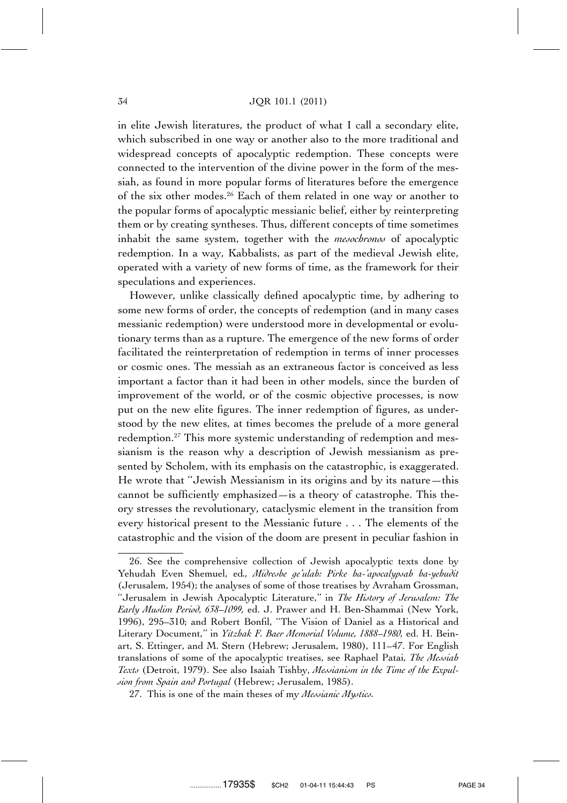in elite Jewish literatures, the product of what I call a secondary elite, which subscribed in one way or another also to the more traditional and widespread concepts of apocalyptic redemption. These concepts were connected to the intervention of the divine power in the form of the messiah, as found in more popular forms of literatures before the emergence of the six other modes.26 Each of them related in one way or another to the popular forms of apocalyptic messianic belief, either by reinterpreting them or by creating syntheses. Thus, different concepts of time sometimes inhabit the same system, together with the *mesochronos* of apocalyptic redemption. In a way, Kabbalists, as part of the medieval Jewish elite, operated with a variety of new forms of time, as the framework for their speculations and experiences.

However, unlike classically defined apocalyptic time, by adhering to some new forms of order, the concepts of redemption (and in many cases messianic redemption) were understood more in developmental or evolutionary terms than as a rupture. The emergence of the new forms of order facilitated the reinterpretation of redemption in terms of inner processes or cosmic ones. The messiah as an extraneous factor is conceived as less important a factor than it had been in other models, since the burden of improvement of the world, or of the cosmic objective processes, is now put on the new elite figures. The inner redemption of figures, as understood by the new elites, at times becomes the prelude of a more general redemption.<sup>27</sup> This more systemic understanding of redemption and messianism is the reason why a description of Jewish messianism as presented by Scholem, with its emphasis on the catastrophic, is exaggerated. He wrote that ''Jewish Messianism in its origins and by its nature—this cannot be sufficiently emphasized—is a theory of catastrophe. This theory stresses the revolutionary, cataclysmic element in the transition from every historical present to the Messianic future . . . The elements of the catastrophic and the vision of the doom are present in peculiar fashion in

<sup>26.</sup> See the comprehensive collection of Jewish apocalyptic texts done by Yehudah Even Shemuel, ed*., Midreshe ge'ulah: Pirke ha-'apocalypsah ha-yehudit* (Jerusalem, 1954); the analyses of some of those treatises by Avraham Grossman, ''Jerusalem in Jewish Apocalyptic Literature,'' in *The History of Jerusalem: The Early Muslim Period, 638–1099,* ed. J. Prawer and H. Ben-Shammai (New York, 1996), 295–310; and Robert Bonfil, ''The Vision of Daniel as a Historical and Literary Document,'' in *Yitzhak F. Baer Memorial Volume, 1888–1980,* ed. H. Beinart, S. Ettinger, and M. Stern (Hebrew; Jerusalem, 1980), 111–47. For English translations of some of the apocalyptic treatises, see Raphael Patai, *The Messiah Texts* (Detroit, 1979). See also Isaiah Tishby, *Messianism in the Time of the Expulsion from Spain and Portugal* (Hebrew; Jerusalem, 1985).

<sup>27.</sup> This is one of the main theses of my *Messianic Mystics.*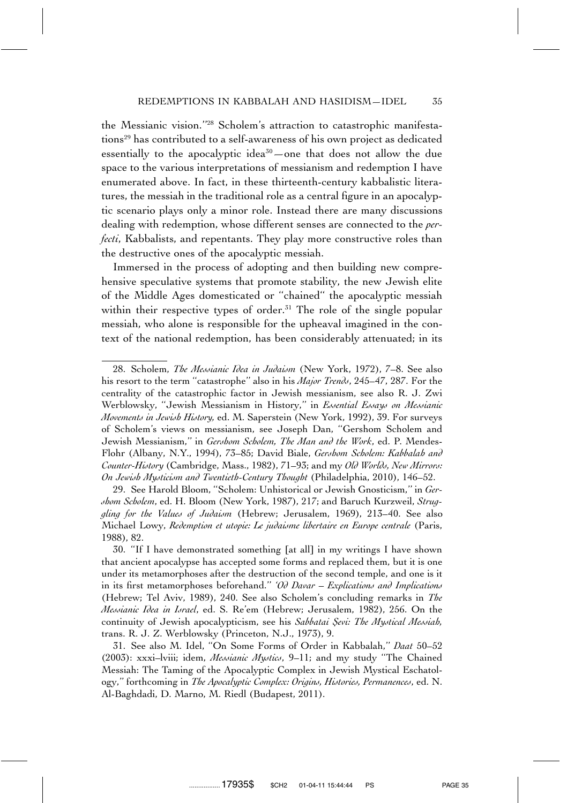the Messianic vision.''28 Scholem's attraction to catastrophic manifestations<sup>29</sup> has contributed to a self-awareness of his own project as dedicated essentially to the apocalyptic idea<sup>30</sup> —one that does not allow the due space to the various interpretations of messianism and redemption I have enumerated above. In fact, in these thirteenth-century kabbalistic literatures, the messiah in the traditional role as a central figure in an apocalyptic scenario plays only a minor role. Instead there are many discussions dealing with redemption, whose different senses are connected to the *perfecti*, Kabbalists, and repentants. They play more constructive roles than the destructive ones of the apocalyptic messiah.

Immersed in the process of adopting and then building new comprehensive speculative systems that promote stability, the new Jewish elite of the Middle Ages domesticated or ''chained'' the apocalyptic messiah within their respective types of order.<sup>31</sup> The role of the single popular messiah, who alone is responsible for the upheaval imagined in the context of the national redemption, has been considerably attenuated; in its

29. See Harold Bloom, ''Scholem: Unhistorical or Jewish Gnosticism,'' in *Gershom Scholem*, ed. H. Bloom (New York, 1987), 217; and Baruch Kurzweil, *Struggling for the Values of Judaism* (Hebrew; Jerusalem, 1969), 213–40. See also Michael Lowy, *Redemption et utopie: Le judaisme libertaire en Europe centrale* (Paris, 1988), 82.

<sup>28.</sup> Scholem, *The Messianic Idea in Judaism* (New York, 1972), 7–8. See also his resort to the term ''catastrophe'' also in his *Major Trends*, 245–47, 287. For the centrality of the catastrophic factor in Jewish messianism, see also R. J. Zwi Werblowsky, ''Jewish Messianism in History,'' in *Essential Essays on Messianic Movements in Jewish History,* ed. M. Saperstein (New York, 1992), 39. For surveys of Scholem's views on messianism, see Joseph Dan, ''Gershom Scholem and Jewish Messianism,'' in *Gershom Scholem, The Man and the Work*, ed. P. Mendes-Flohr (Albany, N.Y., 1994), 73–85; David Biale, *Gershom Scholem: Kabbalah and Counter-History* (Cambridge, Mass., 1982), 71–93; and my *Old Worlds, New Mirrors: On Jewish Mysticism and Twentieth-Century Thought* (Philadelphia, 2010), 146–52.

<sup>30. &#</sup>x27;'If I have demonstrated something [at all] in my writings I have shown that ancient apocalypse has accepted some forms and replaced them, but it is one under its metamorphoses after the destruction of the second temple, and one is it in its first metamorphoses beforehand.'' *'Od Davar* – *Explications and Implications* (Hebrew; Tel Aviv, 1989), 240. See also Scholem's concluding remarks in *The Messianic Idea in Israel*, ed. S. Re'em (Hebrew; Jerusalem, 1982), 256. On the continuity of Jewish apocalypticism, see his *Sabbatai Sevi: The Mystical Messiah*, trans. R. J. Z. Werblowsky (Princeton, N.J., 1973), 9.

<sup>31.</sup> See also M. Idel, ''On Some Forms of Order in Kabbalah,'' *Daat* 50–52 (2003): xxxi–lviii; idem, *Messianic Mystics*, 9–11; and my study ''The Chained Messiah: The Taming of the Apocalyptic Complex in Jewish Mystical Eschatology,'' forthcoming in *The Apocalyptic Complex: Origins, Histories, Permanences*, ed. N. Al-Baghdadi, D. Marno, M. Riedl (Budapest, 2011).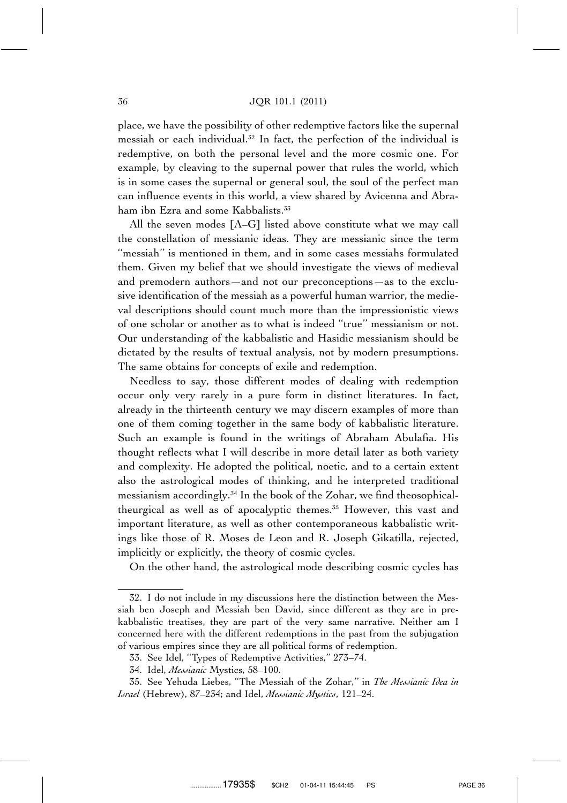place, we have the possibility of other redemptive factors like the supernal messiah or each individual.32 In fact, the perfection of the individual is redemptive, on both the personal level and the more cosmic one. For example, by cleaving to the supernal power that rules the world, which is in some cases the supernal or general soul, the soul of the perfect man can influence events in this world, a view shared by Avicenna and Abraham ibn Ezra and some Kabbalists.<sup>33</sup>

All the seven modes [A–G] listed above constitute what we may call the constellation of messianic ideas. They are messianic since the term ''messiah'' is mentioned in them, and in some cases messiahs formulated them. Given my belief that we should investigate the views of medieval and premodern authors—and not our preconceptions—as to the exclusive identification of the messiah as a powerful human warrior, the medieval descriptions should count much more than the impressionistic views of one scholar or another as to what is indeed ''true'' messianism or not. Our understanding of the kabbalistic and Hasidic messianism should be dictated by the results of textual analysis, not by modern presumptions. The same obtains for concepts of exile and redemption.

Needless to say, those different modes of dealing with redemption occur only very rarely in a pure form in distinct literatures. In fact, already in the thirteenth century we may discern examples of more than one of them coming together in the same body of kabbalistic literature. Such an example is found in the writings of Abraham Abulafia. His thought reflects what I will describe in more detail later as both variety and complexity. He adopted the political, noetic, and to a certain extent also the astrological modes of thinking, and he interpreted traditional messianism accordingly.34 In the book of the Zohar, we find theosophicaltheurgical as well as of apocalyptic themes.<sup>35</sup> However, this vast and important literature, as well as other contemporaneous kabbalistic writings like those of R. Moses de Leon and R. Joseph Gikatilla, rejected, implicitly or explicitly, the theory of cosmic cycles.

On the other hand, the astrological mode describing cosmic cycles has

<sup>32.</sup> I do not include in my discussions here the distinction between the Messiah ben Joseph and Messiah ben David, since different as they are in prekabbalistic treatises, they are part of the very same narrative. Neither am I concerned here with the different redemptions in the past from the subjugation of various empires since they are all political forms of redemption.

<sup>33.</sup> See Idel, ''Types of Redemptive Activities,'' 273–74.

<sup>34.</sup> Idel, *Messianic* Mystics, 58–100.

<sup>35.</sup> See Yehuda Liebes, ''The Messiah of the Zohar,'' in *The Messianic Idea in Israel* (Hebrew), 87–234; and Idel, *Messianic Mystics*, 121–24.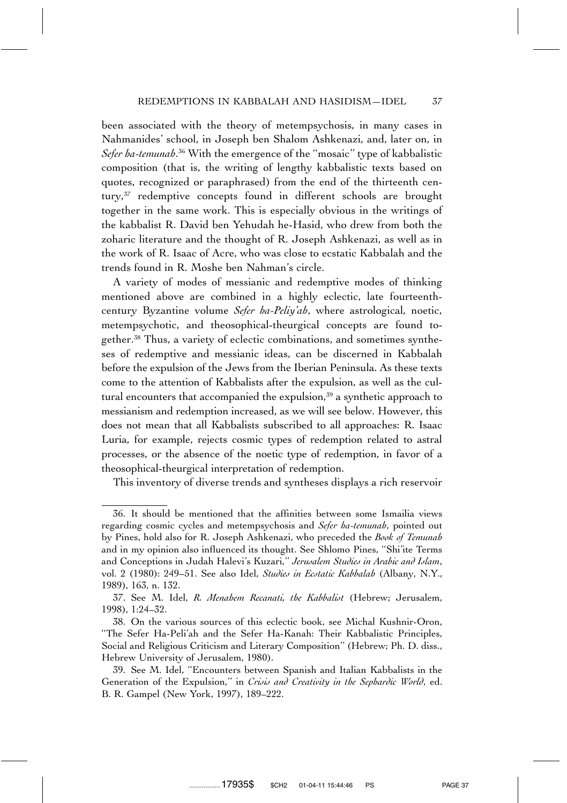been associated with the theory of metempsychosis, in many cases in Nahmanides' school, in Joseph ben Shalom Ashkenazi, and, later on, in *Sefer ha-temunah.*<sup>36</sup> With the emergence of the ''mosaic'' type of kabbalistic composition (that is, the writing of lengthy kabbalistic texts based on quotes, recognized or paraphrased) from the end of the thirteenth century,<sup>37</sup> redemptive concepts found in different schools are brought together in the same work. This is especially obvious in the writings of the kabbalist R. David ben Yehudah he-Hasid, who drew from both the zoharic literature and the thought of R. Joseph Ashkenazi, as well as in the work of R. Isaac of Acre, who was close to ecstatic Kabbalah and the trends found in R. Moshe ben Nahman's circle.

A variety of modes of messianic and redemptive modes of thinking mentioned above are combined in a highly eclectic, late fourteenthcentury Byzantine volume *Sefer ha-Peliy'ah*, where astrological, noetic, metempsychotic, and theosophical-theurgical concepts are found together.38 Thus, a variety of eclectic combinations, and sometimes syntheses of redemptive and messianic ideas, can be discerned in Kabbalah before the expulsion of the Jews from the Iberian Peninsula. As these texts come to the attention of Kabbalists after the expulsion, as well as the cultural encounters that accompanied the expulsion,<sup>39</sup> a synthetic approach to messianism and redemption increased, as we will see below. However, this does not mean that all Kabbalists subscribed to all approaches: R. Isaac Luria, for example, rejects cosmic types of redemption related to astral processes, or the absence of the noetic type of redemption, in favor of a theosophical-theurgical interpretation of redemption.

This inventory of diverse trends and syntheses displays a rich reservoir

<sup>36.</sup> It should be mentioned that the affinities between some Ismailia views regarding cosmic cycles and metempsychosis and *Sefer ha-temunah*, pointed out by Pines, hold also for R. Joseph Ashkenazi, who preceded the *Book of Temunah* and in my opinion also influenced its thought. See Shlomo Pines, ''Shi'ite Terms and Conceptions in Judah Halevi's Kuzari,'' *Jerusalem Studies in Arabic and Islam*, vol. 2 (1980): 249–51. See also Idel, *Studies in Ecstatic Kabbalah* (Albany, N.Y., 1989), 163, n. 132.

<sup>37.</sup> See M. Idel, *R. Menahem Recanati, the Kabbalist* (Hebrew; Jerusalem, 1998), 1:24–32.

<sup>38.</sup> On the various sources of this eclectic book, see Michal Kushnir-Oron, ''The Sefer Ha-Peli'ah and the Sefer Ha-Kanah: Their Kabbalistic Principles, Social and Religious Criticism and Literary Composition'' (Hebrew; Ph. D. diss., Hebrew University of Jerusalem, 1980).

<sup>39.</sup> See M. Idel, ''Encounters between Spanish and Italian Kabbalists in the Generation of the Expulsion," in *Crisis and Creativity in the Sephardic World*, ed. B. R. Gampel (New York, 1997), 189–222.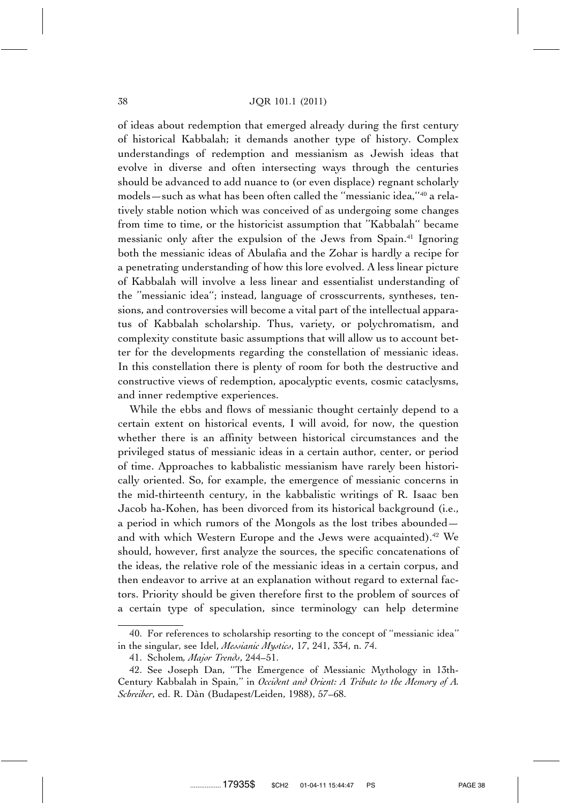of ideas about redemption that emerged already during the first century of historical Kabbalah; it demands another type of history. Complex understandings of redemption and messianism as Jewish ideas that evolve in diverse and often intersecting ways through the centuries should be advanced to add nuance to (or even displace) regnant scholarly models—such as what has been often called the ''messianic idea,''40 a relatively stable notion which was conceived of as undergoing some changes from time to time, or the historicist assumption that ''Kabbalah'' became messianic only after the expulsion of the Jews from Spain.41 Ignoring both the messianic ideas of Abulafia and the Zohar is hardly a recipe for a penetrating understanding of how this lore evolved. A less linear picture of Kabbalah will involve a less linear and essentialist understanding of the ''messianic idea''; instead, language of crosscurrents, syntheses, tensions, and controversies will become a vital part of the intellectual apparatus of Kabbalah scholarship. Thus, variety, or polychromatism, and complexity constitute basic assumptions that will allow us to account better for the developments regarding the constellation of messianic ideas. In this constellation there is plenty of room for both the destructive and constructive views of redemption, apocalyptic events, cosmic cataclysms, and inner redemptive experiences.

While the ebbs and flows of messianic thought certainly depend to a certain extent on historical events, I will avoid, for now, the question whether there is an affinity between historical circumstances and the privileged status of messianic ideas in a certain author, center, or period of time. Approaches to kabbalistic messianism have rarely been historically oriented. So, for example, the emergence of messianic concerns in the mid-thirteenth century, in the kabbalistic writings of R. Isaac ben Jacob ha-Kohen, has been divorced from its historical background (i.e., a period in which rumors of the Mongols as the lost tribes abounded and with which Western Europe and the Jews were acquainted).<sup>42</sup> We should, however, first analyze the sources, the specific concatenations of the ideas, the relative role of the messianic ideas in a certain corpus, and then endeavor to arrive at an explanation without regard to external factors. Priority should be given therefore first to the problem of sources of a certain type of speculation, since terminology can help determine

<sup>40.</sup> For references to scholarship resorting to the concept of ''messianic idea'' in the singular, see Idel, *Messianic Mystics*, 17, 241, 334, n. 74.

<sup>41.</sup> Scholem*, Major Trends*, 244–51.

<sup>42.</sup> See Joseph Dan, ''The Emergence of Messianic Mythology in 13th-Century Kabbalah in Spain,'' in *Occident and Orient: A Tribute to the Memory of A. Schreiber*, ed. R. Da`n (Budapest/Leiden, 1988), 57–68.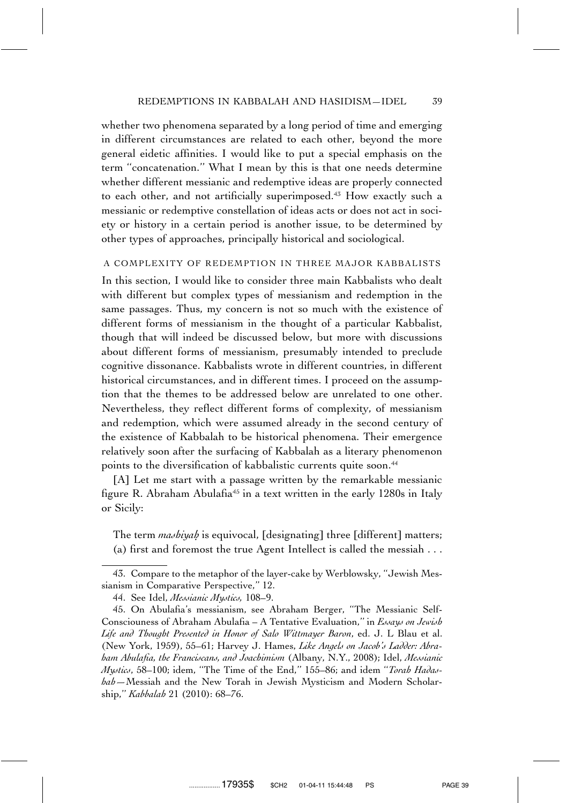whether two phenomena separated by a long period of time and emerging in different circumstances are related to each other, beyond the more general eidetic affinities. I would like to put a special emphasis on the term ''concatenation.'' What I mean by this is that one needs determine whether different messianic and redemptive ideas are properly connected to each other, and not artificially superimposed.<sup>43</sup> How exactly such a messianic or redemptive constellation of ideas acts or does not act in society or history in a certain period is another issue, to be determined by other types of approaches, principally historical and sociological.

#### A COMPLEXITY OF REDEMPTION IN THREE MAJOR KABBALISTS

In this section, I would like to consider three main Kabbalists who dealt with different but complex types of messianism and redemption in the same passages. Thus, my concern is not so much with the existence of different forms of messianism in the thought of a particular Kabbalist, though that will indeed be discussed below, but more with discussions about different forms of messianism, presumably intended to preclude cognitive dissonance. Kabbalists wrote in different countries, in different historical circumstances, and in different times. I proceed on the assumption that the themes to be addressed below are unrelated to one other. Nevertheless, they reflect different forms of complexity, of messianism and redemption, which were assumed already in the second century of the existence of Kabbalah to be historical phenomena. Their emergence relatively soon after the surfacing of Kabbalah as a literary phenomenon points to the diversification of kabbalistic currents quite soon.<sup>44</sup>

[A] Let me start with a passage written by the remarkable messianic figure R. Abraham Abulafia<sup>45</sup> in a text written in the early 1280s in Italy or Sicily:

The term *mashiyah* is equivocal, [designating] three [different] matters; (a) first and foremost the true Agent Intellect is called the messiah . . .

<sup>43.</sup> Compare to the metaphor of the layer-cake by Werblowsky, ''Jewish Messianism in Comparative Perspective," 12.

<sup>44.</sup> See Idel, *Messianic Mystics,* 108–9.

<sup>45.</sup> On Abulafia's messianism, see Abraham Berger, ''The Messianic Self-Consciouness of Abraham Abulafia – A Tentative Evaluation,'' in *Essays on Jewish Life and Thought Presented in Honor of Salo Wittmayer Baron*, ed. J. L Blau et al. (New York, 1959), 55–61; Harvey J. Hames, *Like Angels on Jacob's Ladder: Abraham Abulafia, the Franciscans, and Joachimism* (Albany, N.Y., 2008); Idel, *Messianic Mystics*, 58–100; idem, ''The Time of the End,'' 155–86; and idem ''*Torah Hadashah—*Messiah and the New Torah in Jewish Mysticism and Modern Scholarship,'' *Kabbalah* 21 (2010): 68–76.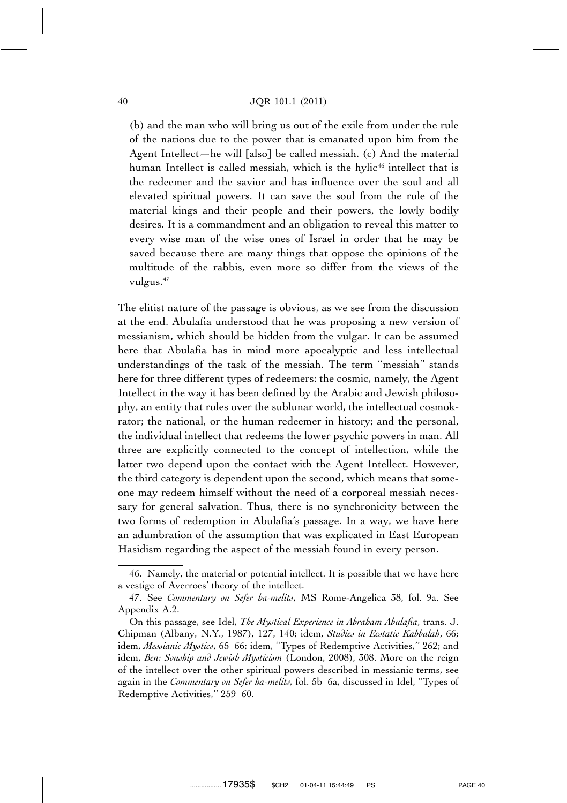(b) and the man who will bring us out of the exile from under the rule of the nations due to the power that is emanated upon him from the Agent Intellect—he will [also] be called messiah. (c) And the material human Intellect is called messiah, which is the hylic<sup>46</sup> intellect that is the redeemer and the savior and has influence over the soul and all elevated spiritual powers. It can save the soul from the rule of the material kings and their people and their powers, the lowly bodily desires. It is a commandment and an obligation to reveal this matter to every wise man of the wise ones of Israel in order that he may be saved because there are many things that oppose the opinions of the multitude of the rabbis, even more so differ from the views of the vulgus.<sup>47</sup>

The elitist nature of the passage is obvious, as we see from the discussion at the end. Abulafia understood that he was proposing a new version of messianism, which should be hidden from the vulgar. It can be assumed here that Abulafia has in mind more apocalyptic and less intellectual understandings of the task of the messiah. The term ''messiah'' stands here for three different types of redeemers: the cosmic, namely, the Agent Intellect in the way it has been defined by the Arabic and Jewish philosophy, an entity that rules over the sublunar world, the intellectual cosmokrator; the national, or the human redeemer in history; and the personal, the individual intellect that redeems the lower psychic powers in man. All three are explicitly connected to the concept of intellection, while the latter two depend upon the contact with the Agent Intellect. However, the third category is dependent upon the second, which means that someone may redeem himself without the need of a corporeal messiah necessary for general salvation. Thus, there is no synchronicity between the two forms of redemption in Abulafia's passage. In a way, we have here an adumbration of the assumption that was explicated in East European Hasidism regarding the aspect of the messiah found in every person.

<sup>46.</sup> Namely, the material or potential intellect. It is possible that we have here a vestige of Averroes' theory of the intellect.

<sup>47.</sup> See *Commentary on Sefer ha-melits*, MS Rome-Angelica 38, fol. 9a. See Appendix A.2.

On this passage, see Idel, *The Mystical Experience in Abraham Abulafia*, trans. J. Chipman (Albany, N.Y., 1987), 127, 140; idem, *Studies in Ecstatic Kabbalah*, 66; idem, *Messianic Mystics*, 65–66; idem, ''Types of Redemptive Activities,'' 262; and idem, *Ben: Sonship and Jewish Mysticism* (London, 2008), 308. More on the reign of the intellect over the other spiritual powers described in messianic terms, see again in the *Commentary on Sefer ha-melits,* fol. 5b–6a, discussed in Idel, ''Types of Redemptive Activities,'' 259–60.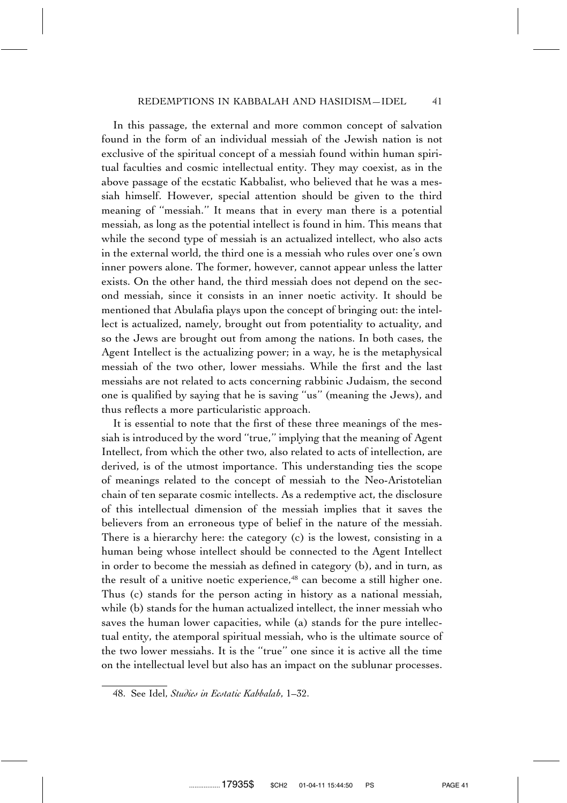In this passage, the external and more common concept of salvation found in the form of an individual messiah of the Jewish nation is not exclusive of the spiritual concept of a messiah found within human spiritual faculties and cosmic intellectual entity. They may coexist, as in the above passage of the ecstatic Kabbalist, who believed that he was a messiah himself. However, special attention should be given to the third meaning of ''messiah.'' It means that in every man there is a potential messiah, as long as the potential intellect is found in him. This means that while the second type of messiah is an actualized intellect, who also acts in the external world, the third one is a messiah who rules over one's own inner powers alone. The former, however, cannot appear unless the latter exists. On the other hand, the third messiah does not depend on the second messiah, since it consists in an inner noetic activity. It should be mentioned that Abulafia plays upon the concept of bringing out: the intellect is actualized, namely, brought out from potentiality to actuality, and so the Jews are brought out from among the nations. In both cases, the Agent Intellect is the actualizing power; in a way, he is the metaphysical messiah of the two other, lower messiahs. While the first and the last messiahs are not related to acts concerning rabbinic Judaism, the second one is qualified by saying that he is saving ''us'' (meaning the Jews), and thus reflects a more particularistic approach.

It is essential to note that the first of these three meanings of the messiah is introduced by the word ''true,'' implying that the meaning of Agent Intellect, from which the other two, also related to acts of intellection, are derived, is of the utmost importance. This understanding ties the scope of meanings related to the concept of messiah to the Neo-Aristotelian chain of ten separate cosmic intellects. As a redemptive act, the disclosure of this intellectual dimension of the messiah implies that it saves the believers from an erroneous type of belief in the nature of the messiah. There is a hierarchy here: the category (c) is the lowest, consisting in a human being whose intellect should be connected to the Agent Intellect in order to become the messiah as defined in category (b), and in turn, as the result of a unitive noetic experience,<sup>48</sup> can become a still higher one. Thus (c) stands for the person acting in history as a national messiah, while (b) stands for the human actualized intellect, the inner messiah who saves the human lower capacities, while (a) stands for the pure intellectual entity, the atemporal spiritual messiah, who is the ultimate source of the two lower messiahs. It is the ''true'' one since it is active all the time on the intellectual level but also has an impact on the sublunar processes.

<sup>48.</sup> See Idel, *Studies in Ecstatic Kabbalah*, 1–32.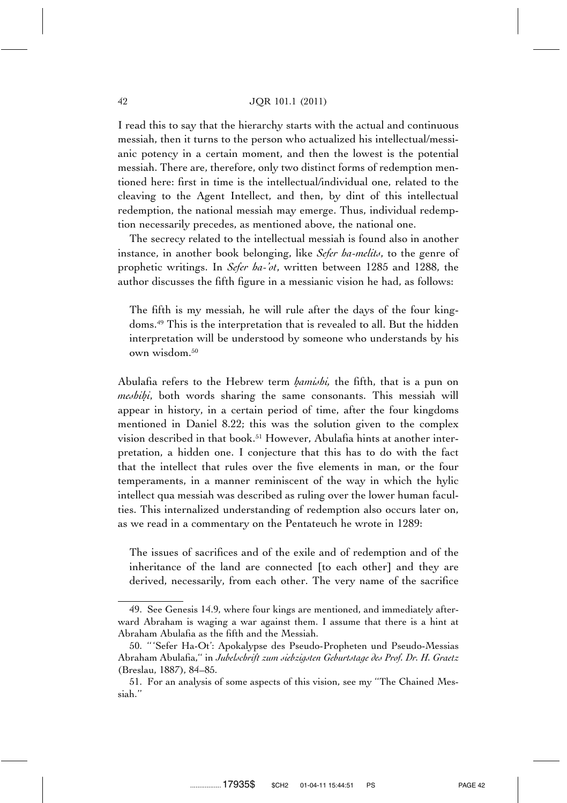I read this to say that the hierarchy starts with the actual and continuous messiah, then it turns to the person who actualized his intellectual/messianic potency in a certain moment, and then the lowest is the potential messiah. There are, therefore, only two distinct forms of redemption mentioned here: first in time is the intellectual/individual one, related to the cleaving to the Agent Intellect, and then, by dint of this intellectual redemption, the national messiah may emerge. Thus, individual redemption necessarily precedes, as mentioned above, the national one.

The secrecy related to the intellectual messiah is found also in another instance, in another book belonging, like *Sefer ha-melits*, to the genre of prophetic writings. In *Sefer ha-'ot*, written between 1285 and 1288, the author discusses the fifth figure in a messianic vision he had, as follows:

The fifth is my messiah, he will rule after the days of the four kingdoms.49 This is the interpretation that is revealed to all. But the hidden interpretation will be understood by someone who understands by his own wisdom.<sup>50</sup>

Abulafia refers to the Hebrew term *hamishi*, the fifth, that is a pun on *meshih. i*, both words sharing the same consonants. This messiah will appear in history, in a certain period of time, after the four kingdoms mentioned in Daniel 8.22; this was the solution given to the complex vision described in that book.51 However, Abulafia hints at another interpretation, a hidden one. I conjecture that this has to do with the fact that the intellect that rules over the five elements in man, or the four temperaments, in a manner reminiscent of the way in which the hylic intellect qua messiah was described as ruling over the lower human faculties. This internalized understanding of redemption also occurs later on, as we read in a commentary on the Pentateuch he wrote in 1289:

The issues of sacrifices and of the exile and of redemption and of the inheritance of the land are connected [to each other] and they are derived, necessarily, from each other. The very name of the sacrifice

<sup>49.</sup> See Genesis 14.9, where four kings are mentioned, and immediately afterward Abraham is waging a war against them. I assume that there is a hint at Abraham Abulafia as the fifth and the Messiah.

<sup>50. &#</sup>x27;' 'Sefer Ha-Ot': Apokalypse des Pseudo-Propheten und Pseudo-Messias Abraham Abulafia,'' in *Jubelschrift zum siebzigsten Geburtstage des Prof. Dr. H. Graetz* (Breslau, 1887), 84–85.

<sup>51.</sup> For an analysis of some aspects of this vision, see my ''The Chained Messiah.''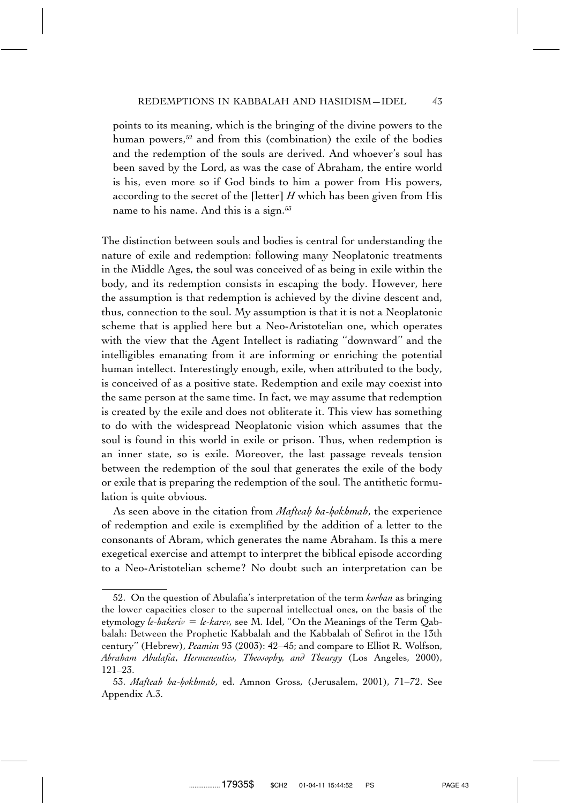points to its meaning, which is the bringing of the divine powers to the human powers,<sup>52</sup> and from this (combination) the exile of the bodies and the redemption of the souls are derived. And whoever's soul has been saved by the Lord, as was the case of Abraham, the entire world is his, even more so if God binds to him a power from His powers, according to the secret of the [letter] *H* which has been given from His name to his name. And this is a sign.<sup>53</sup>

The distinction between souls and bodies is central for understanding the nature of exile and redemption: following many Neoplatonic treatments in the Middle Ages, the soul was conceived of as being in exile within the body, and its redemption consists in escaping the body. However, here the assumption is that redemption is achieved by the divine descent and, thus, connection to the soul. My assumption is that it is not a Neoplatonic scheme that is applied here but a Neo-Aristotelian one, which operates with the view that the Agent Intellect is radiating ''downward'' and the intelligibles emanating from it are informing or enriching the potential human intellect. Interestingly enough, exile, when attributed to the body, is conceived of as a positive state. Redemption and exile may coexist into the same person at the same time. In fact, we may assume that redemption is created by the exile and does not obliterate it. This view has something to do with the widespread Neoplatonic vision which assumes that the soul is found in this world in exile or prison. Thus, when redemption is an inner state, so is exile. Moreover, the last passage reveals tension between the redemption of the soul that generates the exile of the body or exile that is preparing the redemption of the soul. The antithetic formulation is quite obvious.

As seen above in the citation from *Mafteah ha-hokhmah*, the experience of redemption and exile is exemplified by the addition of a letter to the consonants of Abram, which generates the name Abraham. Is this a mere exegetical exercise and attempt to interpret the biblical episode according to a Neo-Aristotelian scheme? No doubt such an interpretation can be

<sup>52.</sup> On the question of Abulafia's interpretation of the term *korban* as bringing the lower capacities closer to the supernal intellectual ones, on the basis of the etymology *le-hakeriv* = *le-karev*, see M. Idel, "On the Meanings of the Term Qabbalah: Between the Prophetic Kabbalah and the Kabbalah of Sefirot in the 13th century'' (Hebrew), *Peamim* 93 (2003): 42–45; and compare to Elliot R. Wolfson, *Abraham Abulafia*, *Hermeneutics, Theosophy, and Theurgy* (Los Angeles, 2000), 121–23.

<sup>53.</sup> *Mafteah ha-hokhmah*, ed. Amnon Gross, (Jerusalem, 2001), 71-72. See Appendix A.3.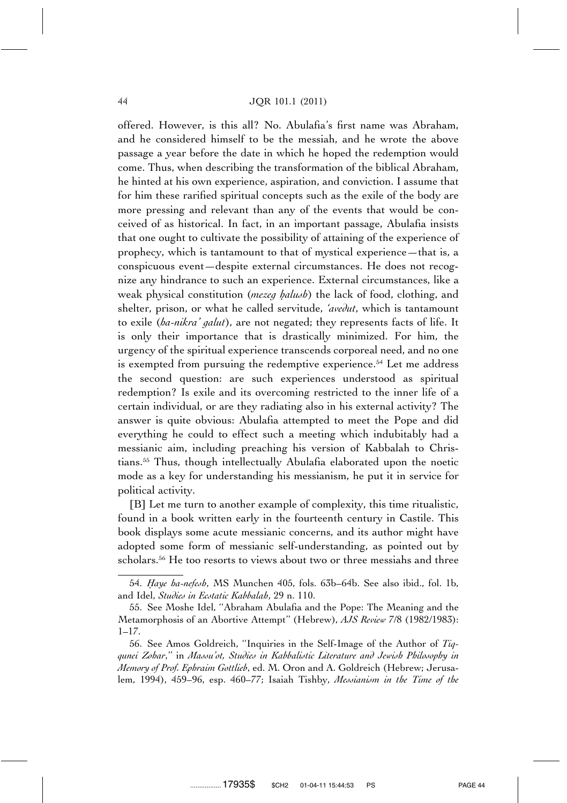#### 44 JQR 101.1 (2011)

offered. However, is this all? No. Abulafia's first name was Abraham, and he considered himself to be the messiah, and he wrote the above passage a year before the date in which he hoped the redemption would come. Thus, when describing the transformation of the biblical Abraham, he hinted at his own experience, aspiration, and conviction. I assume that for him these rarified spiritual concepts such as the exile of the body are more pressing and relevant than any of the events that would be conceived of as historical. In fact, in an important passage, Abulafia insists that one ought to cultivate the possibility of attaining of the experience of prophecy, which is tantamount to that of mystical experience—that is, a conspicuous event—despite external circumstances. He does not recognize any hindrance to such an experience. External circumstances, like a weak physical constitution (*mezeq halush*) the lack of food, clothing, and shelter, prison, or what he called servitude, *'avedut*, which is tantamount to exile (*ha-nikra' galut*), are not negated; they represents facts of life. It is only their importance that is drastically minimized. For him, the urgency of the spiritual experience transcends corporeal need, and no one is exempted from pursuing the redemptive experience.<sup>54</sup> Let me address the second question: are such experiences understood as spiritual redemption? Is exile and its overcoming restricted to the inner life of a certain individual, or are they radiating also in his external activity? The answer is quite obvious: Abulafia attempted to meet the Pope and did everything he could to effect such a meeting which indubitably had a messianic aim, including preaching his version of Kabbalah to Christians.55 Thus, though intellectually Abulafia elaborated upon the noetic mode as a key for understanding his messianism, he put it in service for political activity.

[B] Let me turn to another example of complexity, this time ritualistic, found in a book written early in the fourteenth century in Castile. This book displays some acute messianic concerns, and its author might have adopted some form of messianic self-understanding, as pointed out by scholars.<sup>56</sup> He too resorts to views about two or three messiahs and three

<sup>54.</sup> *H. aye ha-nefesh*, MS Munchen 405, fols. 63b–64b. See also ibid., fol. 1b, and Idel, *Studies in Ecstatic Kabbalah*, 29 n. 110.

<sup>55.</sup> See Moshe Idel, ''Abraham Abulafia and the Pope: The Meaning and the Metamorphosis of an Abortive Attempt'' (Hebrew), *AJS Review* 7/8 (1982/1983): 1–17.

<sup>56.</sup> See Amos Goldreich, ''Inquiries in the Self-Image of the Author of *Tiqqunei Zohar*,'' in *Massu'ot, Studies in Kabbalistic Literature and Jewish Philosophy in Memory of Prof. Ephraim Gottlieb*, ed. M. Oron and A. Goldreich (Hebrew; Jerusalem, 1994), 459–96, esp. 460–77; Isaiah Tishby, *Messianism in the Time of the*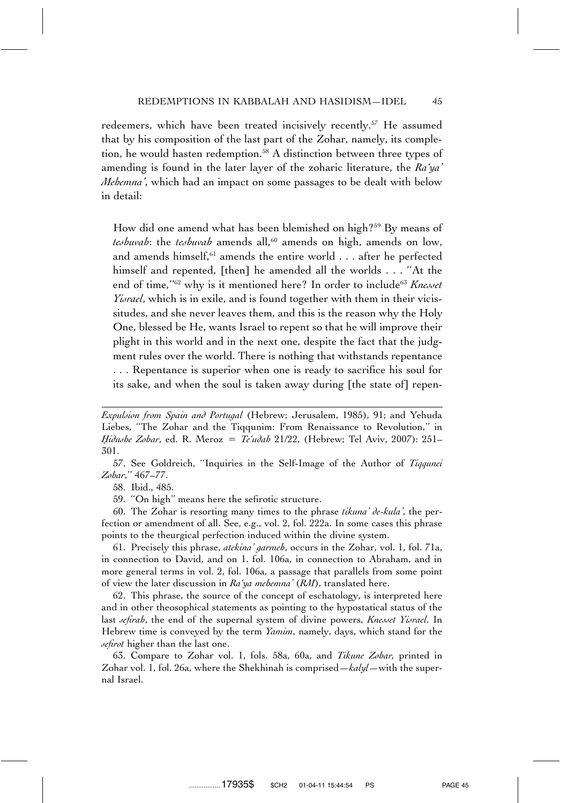redeemers, which have been treated incisively recently.<sup>57</sup> He assumed that by his composition of the last part of the Zohar, namely, its completion, he would hasten redemption.<sup>58</sup> A distinction between three types of amending is found in the later layer of the zoharic literature, the *Ra'ya' Mehemna'*, which had an impact on some passages to be dealt with below in detail:

How did one amend what has been blemished on high?<sup>59</sup> By means of *teshuvah*: the *teshuvah* amends all,<sup>60</sup> amends on high, amends on low, and amends himself,<sup>61</sup> amends the entire world . . . after he perfected himself and repented, [then] he amended all the worlds . . . "At the end of time,"<sup>62</sup> why is it mentioned here? In order to include<sup>63</sup> *Knesset Yisrael*, which is in exile, and is found together with them in their vicissitudes, and she never leaves them, and this is the reason why the Holy One, blessed be He, wants Israel to repent so that he will improve their plight in this world and in the next one, despite the fact that the judgment rules over the world. There is nothing that withstands repentance . . . Repentance is superior when one is ready to sacrifice his soul for its sake, and when the soul is taken away during [the state of] repen-

57. See Goldreich, ''Inquiries in the Self-Image of the Author of *Tiqqunei Zohar*,'' 467–77.

58. Ibid., 485.

59. ''On high'' means here the sefirotic structure.

60. The Zohar is resorting many times to the phrase *tikuna' de-kula'*, the perfection or amendment of all. See, e.g., vol. 2, fol. 222a. In some cases this phrase points to the theurgical perfection induced within the divine system.

61. Precisely this phrase, *atekina' garmeh*, occurs in the Zohar, vol. 1, fol. 71a, in connection to David, and on 1. fol. 106a, in connection to Abraham, and in more general terms in vol. 2, fol. 106a, a passage that parallels from some point of view the later discussion in *Ra'ya mehemna'* (*RM*), translated here.

62. This phrase, the source of the concept of eschatology, is interpreted here and in other theosophical statements as pointing to the hypostatical status of the last *sefirah*, the end of the supernal system of divine powers, *Knesset Yisrael*. In Hebrew time is conveyed by the term *Yamim*, namely, days, which stand for the *sefirot* higher than the last one.

63. Compare to Zohar vol. 1, fols. 58a, 60a, and *Tikune Zohar,* printed in Zohar vol. 1, fol. 26a, where the Shekhinah is comprised—*kalyl*—with the supernal Israel.

*Expulsion from Spain and Portugal* (Hebrew; Jerusalem, 1985), 91; and Yehuda Liebes, ''The Zohar and the Tiqqunim: From Renaissance to Revolution,'' in *H. idushe Zohar*, ed. R. Meroz *Te'udah* 21/22, (Hebrew; Tel Aviv, 2007): 251– 301.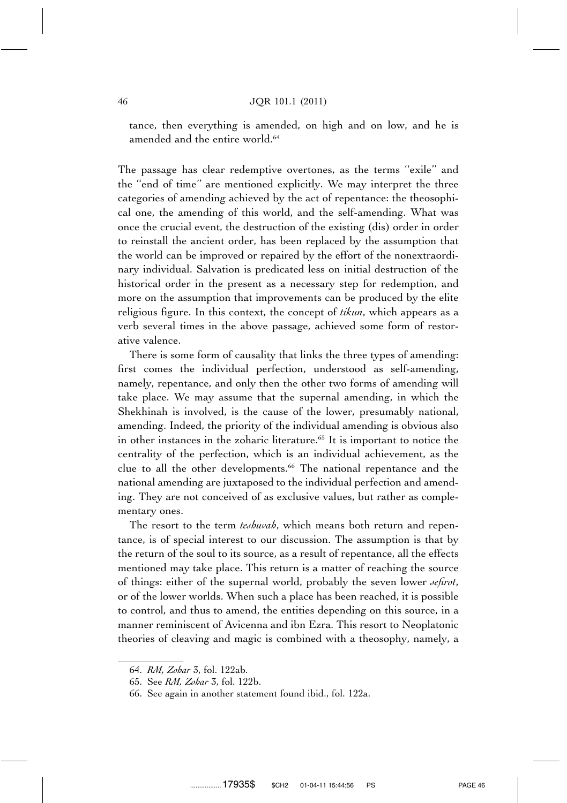tance, then everything is amended, on high and on low, and he is amended and the entire world.<sup>64</sup>

The passage has clear redemptive overtones, as the terms ''exile'' and the ''end of time'' are mentioned explicitly. We may interpret the three categories of amending achieved by the act of repentance: the theosophical one, the amending of this world, and the self-amending. What was once the crucial event, the destruction of the existing (dis) order in order to reinstall the ancient order, has been replaced by the assumption that the world can be improved or repaired by the effort of the nonextraordinary individual. Salvation is predicated less on initial destruction of the historical order in the present as a necessary step for redemption, and more on the assumption that improvements can be produced by the elite religious figure. In this context, the concept of *tikun*, which appears as a verb several times in the above passage, achieved some form of restorative valence.

There is some form of causality that links the three types of amending: first comes the individual perfection, understood as self-amending, namely, repentance, and only then the other two forms of amending will take place. We may assume that the supernal amending, in which the Shekhinah is involved, is the cause of the lower, presumably national, amending. Indeed, the priority of the individual amending is obvious also in other instances in the zoharic literature.<sup>65</sup> It is important to notice the centrality of the perfection, which is an individual achievement, as the clue to all the other developments.<sup>66</sup> The national repentance and the national amending are juxtaposed to the individual perfection and amending. They are not conceived of as exclusive values, but rather as complementary ones.

The resort to the term *teshuvah*, which means both return and repentance, is of special interest to our discussion. The assumption is that by the return of the soul to its source, as a result of repentance, all the effects mentioned may take place. This return is a matter of reaching the source of things: either of the supernal world, probably the seven lower *sefirot*, or of the lower worlds. When such a place has been reached, it is possible to control, and thus to amend, the entities depending on this source, in a manner reminiscent of Avicenna and ibn Ezra. This resort to Neoplatonic theories of cleaving and magic is combined with a theosophy, namely, a

<sup>64.</sup> *RM, Zohar* 3, fol. 122ab.

<sup>65.</sup> See *RM, Zohar* 3, fol. 122b.

<sup>66.</sup> See again in another statement found ibid., fol. 122a.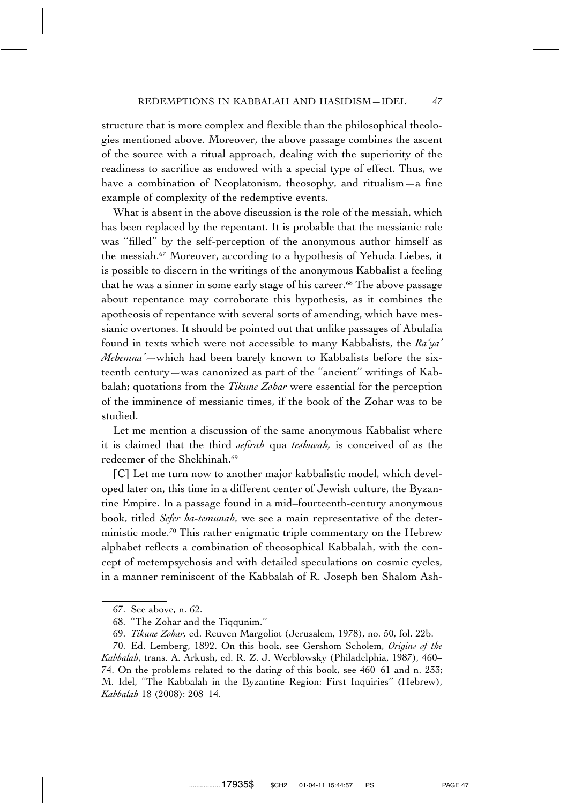structure that is more complex and flexible than the philosophical theologies mentioned above. Moreover, the above passage combines the ascent of the source with a ritual approach, dealing with the superiority of the readiness to sacrifice as endowed with a special type of effect. Thus, we have a combination of Neoplatonism, theosophy, and ritualism—a fine example of complexity of the redemptive events.

What is absent in the above discussion is the role of the messiah, which has been replaced by the repentant. It is probable that the messianic role was ''filled'' by the self-perception of the anonymous author himself as the messiah.67 Moreover, according to a hypothesis of Yehuda Liebes, it is possible to discern in the writings of the anonymous Kabbalist a feeling that he was a sinner in some early stage of his career.<sup>68</sup> The above passage about repentance may corroborate this hypothesis, as it combines the apotheosis of repentance with several sorts of amending, which have messianic overtones. It should be pointed out that unlike passages of Abulafia found in texts which were not accessible to many Kabbalists, the *Ra'ya' Mehemna'—*which had been barely known to Kabbalists before the sixteenth century—was canonized as part of the ''ancient'' writings of Kabbalah; quotations from the *Tikune Zohar* were essential for the perception of the imminence of messianic times, if the book of the Zohar was to be studied.

Let me mention a discussion of the same anonymous Kabbalist where it is claimed that the third *sefirah* qua *teshuvah,* is conceived of as the redeemer of the Shekhinah.<sup>69</sup>

[C] Let me turn now to another major kabbalistic model, which developed later on, this time in a different center of Jewish culture, the Byzantine Empire. In a passage found in a mid–fourteenth-century anonymous book, titled *Sefer ha-temunah*, we see a main representative of the deterministic mode.<sup>70</sup> This rather enigmatic triple commentary on the Hebrew alphabet reflects a combination of theosophical Kabbalah, with the concept of metempsychosis and with detailed speculations on cosmic cycles, in a manner reminiscent of the Kabbalah of R. Joseph ben Shalom Ash-

<sup>67.</sup> See above, n. 62.

<sup>68. &#</sup>x27;'The Zohar and the Tiqqunim.''

<sup>69.</sup> *Tikune Zohar,* ed. Reuven Margoliot (Jerusalem, 1978), no. 50, fol. 22b.

<sup>70.</sup> Ed. Lemberg, 1892. On this book, see Gershom Scholem, *Origins of the Kabbalah*, trans. A. Arkush, ed. R. Z. J. Werblowsky (Philadelphia, 1987), 460– 74. On the problems related to the dating of this book, see 460–61 and n. 233; M. Idel, ''The Kabbalah in the Byzantine Region: First Inquiries'' (Hebrew), *Kabbalah* 18 (2008): 208–14.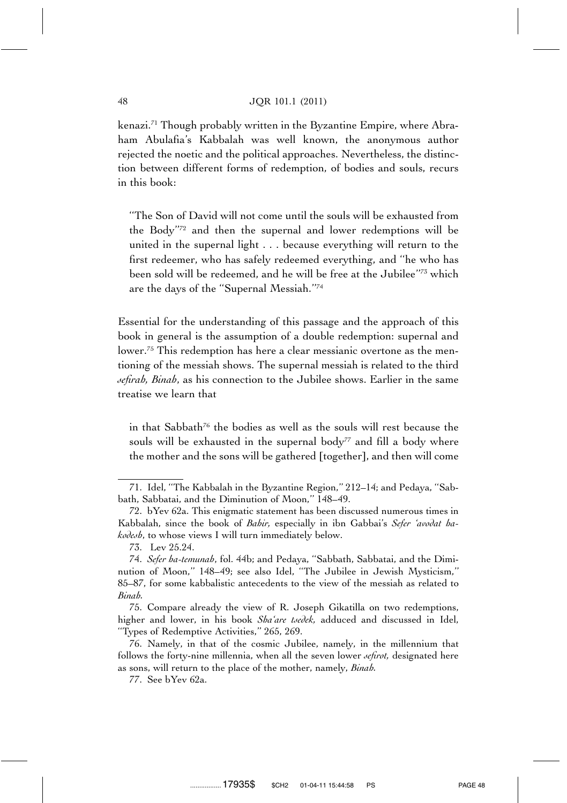#### 48 JQR 101.1 (2011)

kenazi.71 Though probably written in the Byzantine Empire, where Abraham Abulafia's Kabbalah was well known, the anonymous author rejected the noetic and the political approaches. Nevertheless, the distinction between different forms of redemption, of bodies and souls, recurs in this book:

''The Son of David will not come until the souls will be exhausted from the Body''72 and then the supernal and lower redemptions will be united in the supernal light . . . because everything will return to the first redeemer, who has safely redeemed everything, and ''he who has been sold will be redeemed, and he will be free at the Jubilee''73 which are the days of the ''Supernal Messiah.''74

Essential for the understanding of this passage and the approach of this book in general is the assumption of a double redemption: supernal and lower.75 This redemption has here a clear messianic overtone as the mentioning of the messiah shows. The supernal messiah is related to the third *sefirah, Binah*, as his connection to the Jubilee shows. Earlier in the same treatise we learn that

in that Sabbath<sup>76</sup> the bodies as well as the souls will rest because the souls will be exhausted in the supernal body<sup> $77$ </sup> and fill a body where the mother and the sons will be gathered [together], and then will come

75. Compare already the view of R. Joseph Gikatilla on two redemptions, higher and lower, in his book *Sha'are tsedek,* adduced and discussed in Idel, ''Types of Redemptive Activities,'' 265, 269.

<sup>71.</sup> Idel, ''The Kabbalah in the Byzantine Region,'' 212–14; and Pedaya, ''Sabbath, Sabbatai, and the Diminution of Moon,'' 148–49.

<sup>72.</sup> bYev 62a. This enigmatic statement has been discussed numerous times in Kabbalah, since the book of *Bahir,* especially in ibn Gabbai's *Sefer 'avodat hakodesh*, to whose views I will turn immediately below.

<sup>73.</sup> Lev 25.24.

<sup>74.</sup> *Sefer ha-temunah*, fol. 44b; and Pedaya, ''Sabbath, Sabbatai, and the Diminution of Moon,'' 148–49; see also Idel, ''The Jubilee in Jewish Mysticism,'' 85–87, for some kabbalistic antecedents to the view of the messiah as related to *Binah.*

<sup>76.</sup> Namely, in that of the cosmic Jubilee, namely, in the millennium that follows the forty-nine millennia, when all the seven lower *sefirot,* designated here as sons, will return to the place of the mother, namely, *Binah.*

<sup>77.</sup> See bYev 62a.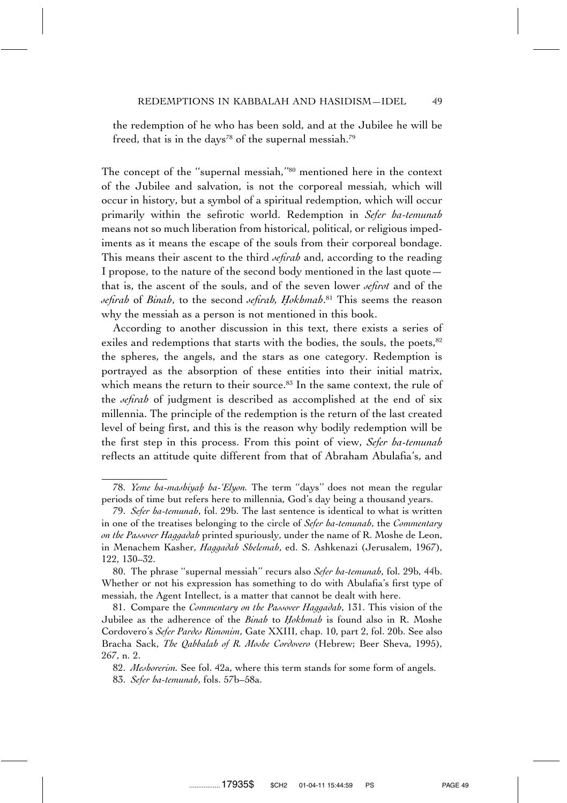the redemption of he who has been sold, and at the Jubilee he will be freed, that is in the days<sup>78</sup> of the supernal messiah.<sup>79</sup>

The concept of the ''supernal messiah,''80 mentioned here in the context of the Jubilee and salvation, is not the corporeal messiah, which will occur in history, but a symbol of a spiritual redemption, which will occur primarily within the sefirotic world. Redemption in *Sefer ha-temunah* means not so much liberation from historical, political, or religious impediments as it means the escape of the souls from their corporeal bondage. This means their ascent to the third *sefirah* and, according to the reading I propose, to the nature of the second body mentioned in the last quote that is, the ascent of the souls, and of the seven lower *sefirot* and of the *sefirah* of *Binah*, to the second *sefirah, H. okhmah*. <sup>81</sup> This seems the reason why the messiah as a person is not mentioned in this book.

According to another discussion in this text, there exists a series of exiles and redemptions that starts with the bodies, the souls, the poets,<sup>82</sup> the spheres, the angels, and the stars as one category. Redemption is portrayed as the absorption of these entities into their initial matrix, which means the return to their source.<sup>83</sup> In the same context, the rule of the *sefirah* of judgment is described as accomplished at the end of six millennia. The principle of the redemption is the return of the last created level of being first, and this is the reason why bodily redemption will be the first step in this process. From this point of view, *Sefer ha-temunah* reflects an attitude quite different from that of Abraham Abulafia's, and

<sup>78.</sup> *Yeme ha-mashiyah. ha-'Elyon.* The term ''days'' does not mean the regular periods of time but refers here to millennia, God's day being a thousand years.

<sup>79.</sup> *Sefer ha-temunah*, fol. 29b. The last sentence is identical to what is written in one of the treatises belonging to the circle of *Sefer ha-temunah*, the *Commentary on the Passover Haggadah* printed spuriously, under the name of R. Moshe de Leon, in Menachem Kasher, *Haggadah Shelemah*, ed. S. Ashkenazi (Jerusalem, 1967), 122, 130–32.

<sup>80.</sup> The phrase ''supernal messiah'' recurs also *Sefer ha-temunah*, fol. 29b, 44b. Whether or not his expression has something to do with Abulafia's first type of messiah, the Agent Intellect, is a matter that cannot be dealt with here.

<sup>81.</sup> Compare the *Commentary on the Passover Haggadah*, 131. This vision of the Jubilee as the adherence of the *Binah* to *Hokhmah* is found also in R. Moshe Cordovero's *Sefer Pardes Rimonim*, Gate XXIII, chap. 10, part 2, fol. 20b. See also Bracha Sack, *The Qabbalah of R. Moshe Cordovero* (Hebrew; Beer Sheva, 1995), 267, n. 2.

<sup>82.</sup> *Meshorerim.* See fol. 42a, where this term stands for some form of angels. 83. *Sefer ha-temunah*, fols. 57b–58a.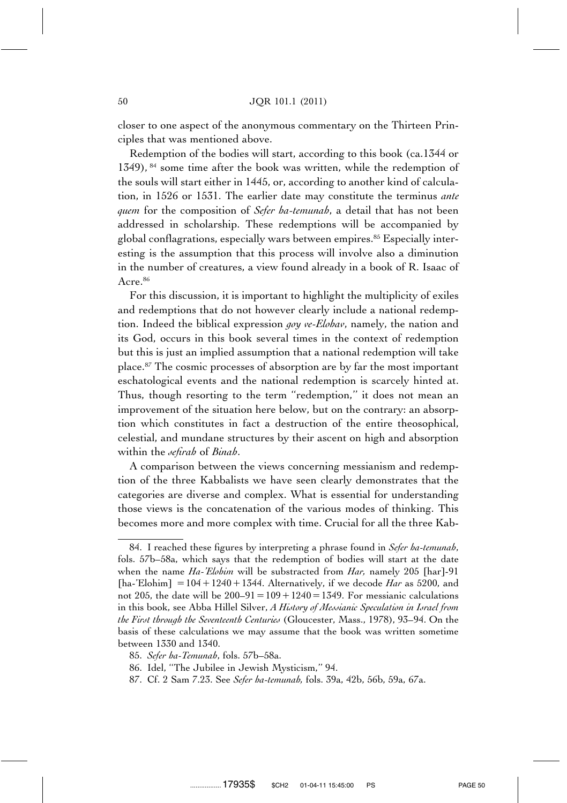closer to one aspect of the anonymous commentary on the Thirteen Principles that was mentioned above.

Redemption of the bodies will start, according to this book (ca.1344 or 1349),  $^{84}$  some time after the book was written, while the redemption of the souls will start either in 1445, or, according to another kind of calculation, in 1526 or 1531. The earlier date may constitute the terminus *ante quem* for the composition of *Sefer ha-temunah*, a detail that has not been addressed in scholarship. These redemptions will be accompanied by global conflagrations, especially wars between empires.85 Especially interesting is the assumption that this process will involve also a diminution in the number of creatures, a view found already in a book of R. Isaac of Acre.86

For this discussion, it is important to highlight the multiplicity of exiles and redemptions that do not however clearly include a national redemption. Indeed the biblical expression *goy ve-Elohav*, namely, the nation and its God, occurs in this book several times in the context of redemption but this is just an implied assumption that a national redemption will take place.87 The cosmic processes of absorption are by far the most important eschatological events and the national redemption is scarcely hinted at. Thus, though resorting to the term "redemption," it does not mean an improvement of the situation here below, but on the contrary: an absorption which constitutes in fact a destruction of the entire theosophical, celestial, and mundane structures by their ascent on high and absorption within the *sefirah* of *Binah*.

A comparison between the views concerning messianism and redemption of the three Kabbalists we have seen clearly demonstrates that the categories are diverse and complex. What is essential for understanding those views is the concatenation of the various modes of thinking. This becomes more and more complex with time. Crucial for all the three Kab-

<sup>84.</sup> I reached these figures by interpreting a phrase found in *Sefer ha-temunah*, fols. 57b–58a, which says that the redemption of bodies will start at the date when the name *Ha-'Elohim* will be substracted from *Har,* namely 205 [har]-91 [ha-'Elohim]  $= 104 + 1240 + 1344$ . Alternatively, if we decode *Har* as 5200, and not 205, the date will be  $200-91=109+1240=1349$ . For messianic calculations in this book, see Abba Hillel Silver, *A History of Messianic Speculation in Israel from the First through the Seventeenth Centuries* (Gloucester, Mass., 1978), 93–94. On the basis of these calculations we may assume that the book was written sometime between 1330 and 1340.

<sup>85.</sup> *Sefer ha-Temunah*, fols. 57b–58a.

<sup>86.</sup> Idel, ''The Jubilee in Jewish Mysticism,'' 94.

<sup>87.</sup> Cf. 2 Sam 7.23. See *Sefer ha-temunah,* fols. 39a, 42b, 56b, 59a, 67a.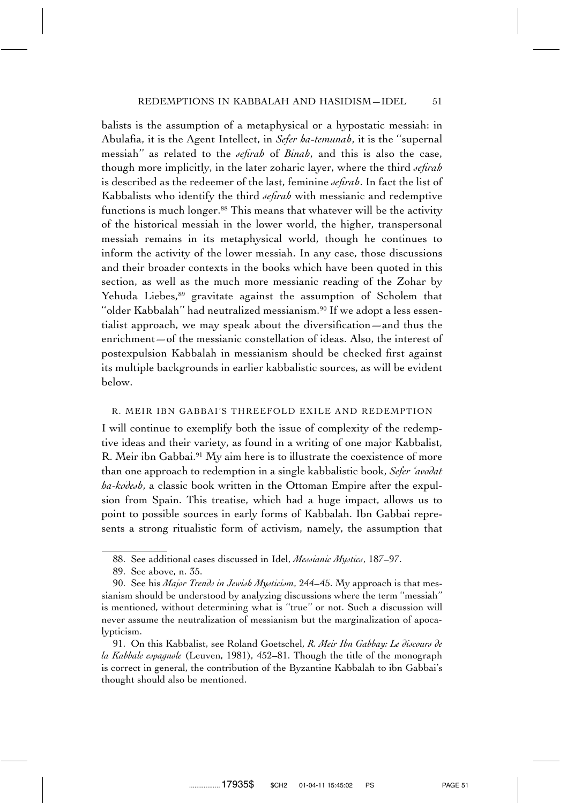balists is the assumption of a metaphysical or a hypostatic messiah: in Abulafia, it is the Agent Intellect, in *Sefer ha-temunah*, it is the ''supernal messiah'' as related to the *sefirah* of *Binah*, and this is also the case, though more implicitly, in the later zoharic layer, where the third *sefirah* is described as the redeemer of the last, feminine *sefirah*. In fact the list of Kabbalists who identify the third *sefirah* with messianic and redemptive functions is much longer.<sup>88</sup> This means that whatever will be the activity of the historical messiah in the lower world, the higher, transpersonal messiah remains in its metaphysical world, though he continues to inform the activity of the lower messiah. In any case, those discussions and their broader contexts in the books which have been quoted in this section, as well as the much more messianic reading of the Zohar by Yehuda Liebes,<sup>89</sup> gravitate against the assumption of Scholem that "older Kabbalah" had neutralized messianism.<sup>90</sup> If we adopt a less essentialist approach, we may speak about the diversification—and thus the enrichment—of the messianic constellation of ideas. Also, the interest of postexpulsion Kabbalah in messianism should be checked first against its multiple backgrounds in earlier kabbalistic sources, as will be evident below.

#### R. MEIR IBN GABBAI'S THREEFOLD EXILE AND REDEMPTION

I will continue to exemplify both the issue of complexity of the redemptive ideas and their variety, as found in a writing of one major Kabbalist, R. Meir ibn Gabbai.<sup>91</sup> My aim here is to illustrate the coexistence of more than one approach to redemption in a single kabbalistic book, *Sefer 'avodat ha-kodesh*, a classic book written in the Ottoman Empire after the expulsion from Spain. This treatise, which had a huge impact, allows us to point to possible sources in early forms of Kabbalah. Ibn Gabbai represents a strong ritualistic form of activism, namely, the assumption that

<sup>88.</sup> See additional cases discussed in Idel, *Messianic Mystics*, 187–97.

<sup>89.</sup> See above, n. 35.

<sup>90.</sup> See his *Major Trends in Jewish Mysticism*, 244–45. My approach is that messianism should be understood by analyzing discussions where the term ''messiah'' is mentioned, without determining what is ''true'' or not. Such a discussion will never assume the neutralization of messianism but the marginalization of apocalypticism.

<sup>91.</sup> On this Kabbalist, see Roland Goetschel, *R. Meir Ibn Gabbay: Le discours de la Kabbale espagnole* (Leuven, 1981), 452–81. Though the title of the monograph is correct in general, the contribution of the Byzantine Kabbalah to ibn Gabbai's thought should also be mentioned.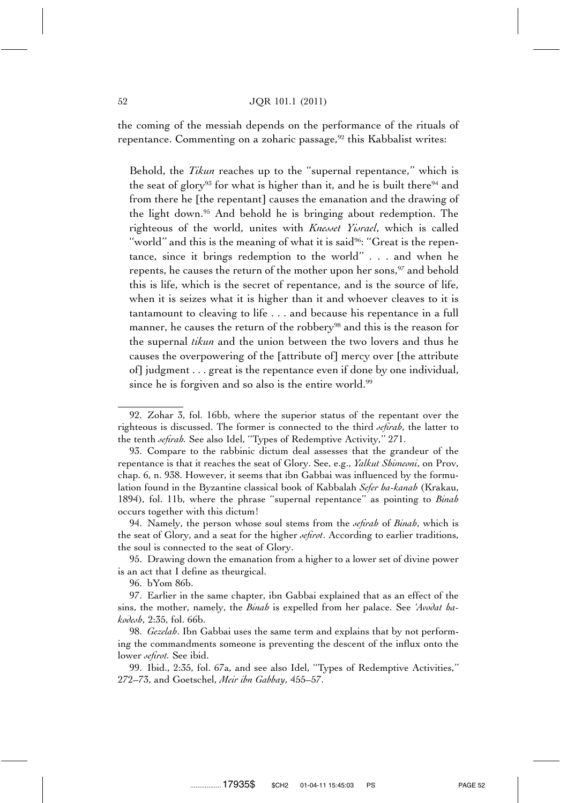the coming of the messiah depends on the performance of the rituals of repentance. Commenting on a zoharic passage,<sup>92</sup> this Kabbalist writes:

Behold, the *Tikun* reaches up to the ''supernal repentance,'' which is the seat of glory<sup>93</sup> for what is higher than it, and he is built there<sup>94</sup> and from there he [the repentant] causes the emanation and the drawing of the light down.95 And behold he is bringing about redemption. The righteous of the world, unites with *Knesset Yisrael*, which is called "world" and this is the meaning of what it is said<sup>96</sup>: "Great is the repentance, since it brings redemption to the world'' . . . and when he repents, he causes the return of the mother upon her sons,<sup>97</sup> and behold this is life, which is the secret of repentance, and is the source of life, when it is seizes what it is higher than it and whoever cleaves to it is tantamount to cleaving to life . . . and because his repentance in a full manner, he causes the return of the robbery<sup>98</sup> and this is the reason for the supernal *tikun* and the union between the two lovers and thus he causes the overpowering of the [attribute of] mercy over [the attribute of] judgment . . . great is the repentance even if done by one individual, since he is forgiven and so also is the entire world.<sup>99</sup>

94. Namely, the person whose soul stems from the *sefirah* of *Binah*, which is the seat of Glory, and a seat for the higher *sefirot*. According to earlier traditions, the soul is connected to the seat of Glory.

96. bYom 86b.

<sup>92.</sup> Zohar 3, fol. 16bb, where the superior status of the repentant over the righteous is discussed. The former is connected to the third *sefirah*, the latter to the tenth *sefirah.* See also Idel, ''Types of Redemptive Activity,'' 271.

<sup>93.</sup> Compare to the rabbinic dictum deal assesses that the grandeur of the repentance is that it reaches the seat of Glory. See, e.g., *Yalkut Shimeoni*, on Prov, chap. 6, n. 938. However, it seems that ibn Gabbai was influenced by the formulation found in the Byzantine classical book of Kabbalah *Sefer ha-kanah* (Krakau, 1894), fol. 11b, where the phrase ''supernal repentance'' as pointing to *Binah* occurs together with this dictum!

<sup>95.</sup> Drawing down the emanation from a higher to a lower set of divine power is an act that I define as theurgical.

<sup>97.</sup> Earlier in the same chapter, ibn Gabbai explained that as an effect of the sins, the mother, namely, the *Binah* is expelled from her palace. See *'Avodat hakodesh*, 2:35, fol. 66b.

<sup>98.</sup> *Gezelah*. Ibn Gabbai uses the same term and explains that by not performing the commandments someone is preventing the descent of the influx onto the lower *sefirot.* See ibid.

<sup>99.</sup> Ibid., 2:35, fol. 67a, and see also Idel, ''Types of Redemptive Activities,'' 272–73, and Goetschel, *Meir ibn Gabbay*, 455–57.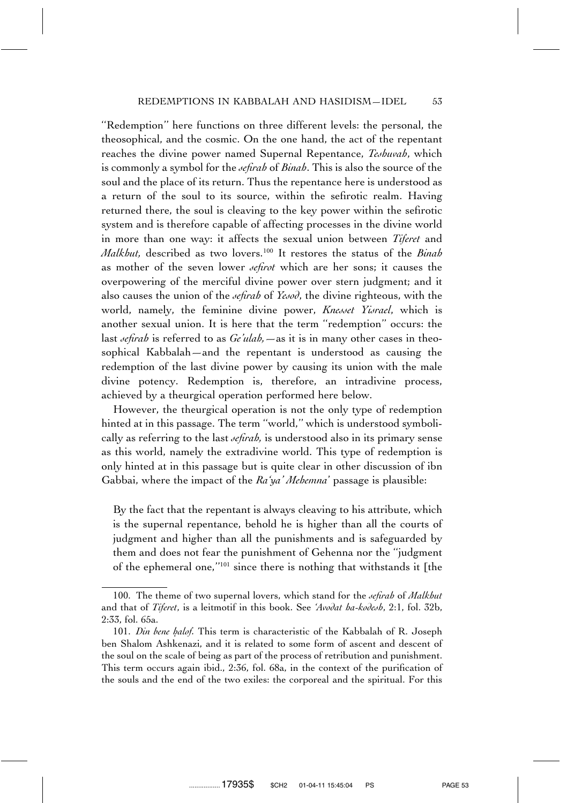''Redemption'' here functions on three different levels: the personal, the theosophical, and the cosmic. On the one hand, the act of the repentant reaches the divine power named Supernal Repentance, *Teshuvah*, which is commonly a symbol for the *sefirah* of *Binah*. This is also the source of the soul and the place of its return. Thus the repentance here is understood as a return of the soul to its source, within the sefirotic realm. Having returned there, the soul is cleaving to the key power within the sefirotic system and is therefore capable of affecting processes in the divine world in more than one way: it affects the sexual union between *Tiferet* and *Malkhut,* described as two lovers.100 It restores the status of the *Binah* as mother of the seven lower *sefirot* which are her sons; it causes the overpowering of the merciful divine power over stern judgment; and it also causes the union of the *sefirah* of *Yesod*, the divine righteous, with the world, namely, the feminine divine power, *Knesset Yisrael*, which is another sexual union. It is here that the term ''redemption'' occurs: the last *sefirah* is referred to as *Ge'ulah,*—as it is in many other cases in theosophical Kabbalah—and the repentant is understood as causing the redemption of the last divine power by causing its union with the male divine potency. Redemption is, therefore, an intradivine process, achieved by a theurgical operation performed here below.

However, the theurgical operation is not the only type of redemption hinted at in this passage. The term ''world,'' which is understood symbolically as referring to the last *sefirah,* is understood also in its primary sense as this world, namely the extradivine world. This type of redemption is only hinted at in this passage but is quite clear in other discussion of ibn Gabbai, where the impact of the *Ra'ya' Mehemna*' passage is plausible:

By the fact that the repentant is always cleaving to his attribute, which is the supernal repentance, behold he is higher than all the courts of judgment and higher than all the punishments and is safeguarded by them and does not fear the punishment of Gehenna nor the ''judgment of the ephemeral one,''101 since there is nothing that withstands it [the

<sup>100.</sup> The theme of two supernal lovers, which stand for the *sefirah* of *Malkhut* and that of *Tiferet*, is a leitmotif in this book. See *'Avodat ha-kodesh*, 2:1, fol. 32b, 2:33, fol. 65a.

<sup>101.</sup> *Din bene halof*. This term is characteristic of the Kabbalah of R. Joseph ben Shalom Ashkenazi, and it is related to some form of ascent and descent of the soul on the scale of being as part of the process of retribution and punishment. This term occurs again ibid., 2:36, fol. 68a, in the context of the purification of the souls and the end of the two exiles: the corporeal and the spiritual. For this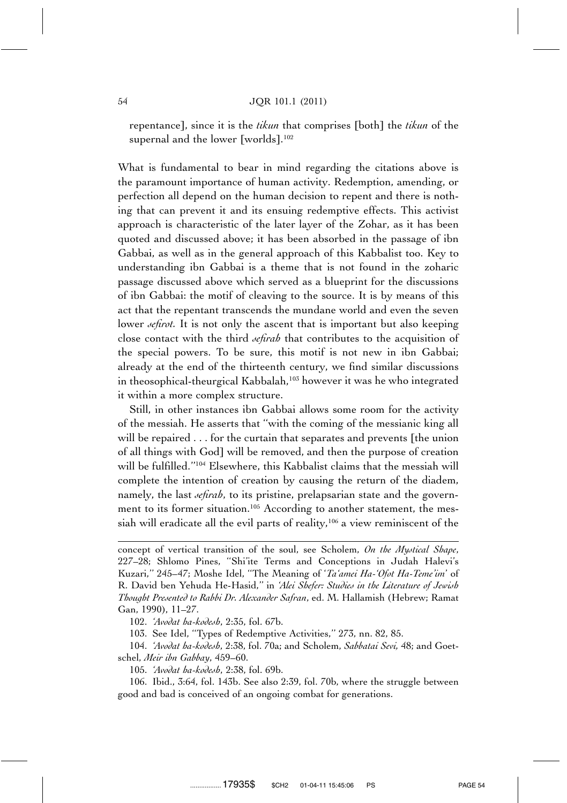repentance], since it is the *tikun* that comprises [both] the *tikun* of the supernal and the lower [worlds].<sup>102</sup>

What is fundamental to bear in mind regarding the citations above is the paramount importance of human activity. Redemption, amending, or perfection all depend on the human decision to repent and there is nothing that can prevent it and its ensuing redemptive effects. This activist approach is characteristic of the later layer of the Zohar, as it has been quoted and discussed above; it has been absorbed in the passage of ibn Gabbai, as well as in the general approach of this Kabbalist too. Key to understanding ibn Gabbai is a theme that is not found in the zoharic passage discussed above which served as a blueprint for the discussions of ibn Gabbai: the motif of cleaving to the source. It is by means of this act that the repentant transcends the mundane world and even the seven lower *sefirot*. It is not only the ascent that is important but also keeping close contact with the third *sefirah* that contributes to the acquisition of the special powers. To be sure, this motif is not new in ibn Gabbai; already at the end of the thirteenth century, we find similar discussions in theosophical-theurgical Kabbalah,103 however it was he who integrated it within a more complex structure.

Still, in other instances ibn Gabbai allows some room for the activity of the messiah. He asserts that ''with the coming of the messianic king all will be repaired . . . for the curtain that separates and prevents [the union of all things with God] will be removed, and then the purpose of creation will be fulfilled.''104 Elsewhere, this Kabbalist claims that the messiah will complete the intention of creation by causing the return of the diadem, namely, the last *sefirah*, to its pristine, prelapsarian state and the government to its former situation.<sup>105</sup> According to another statement, the messiah will eradicate all the evil parts of reality,<sup>106</sup> a view reminiscent of the

102. *'Avodat ha-kodesh*, 2:35, fol. 67b.

103. See Idel, ''Types of Redemptive Activities,'' 273, nn. 82, 85.

104. *'Avodat ha-kodesh*, 2:38, fol. 70a; and Scholem, *Sabbatai Sevi,* 48; and Goetschel, *Meir ibn Gabbay*, 459–60.

105. *'Avodat ha-kodesh*, 2:38, fol. 69b.

106. Ibid., 3:64, fol. 143b. See also 2:39, fol. 70b, where the struggle between good and bad is conceived of an ongoing combat for generations.

concept of vertical transition of the soul, see Scholem, *On the Mystical Shape*, 227–28; Shlomo Pines, ''Shi'ite Terms and Conceptions in Judah Halevi's Kuzari,'' 245–47; Moshe Idel, ''The Meaning of '*Ta'amei Ha-'Ofot Ha-Teme'im*' of R. David ben Yehuda He-Hasid,'' in *'Alei Shefer: Studies in the Literature of Jewish Thought Presented to Rabbi Dr. Alexander Safran*, ed. M. Hallamish (Hebrew; Ramat Gan, 1990), 11–27.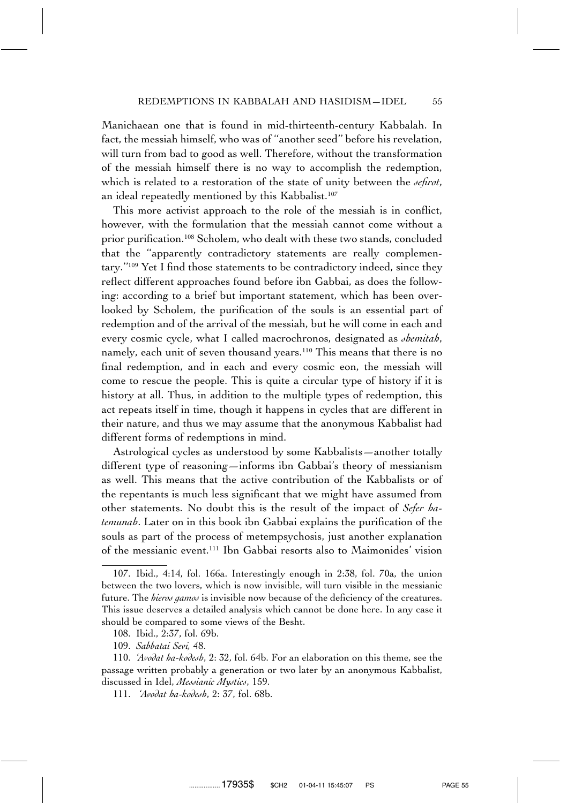Manichaean one that is found in mid-thirteenth-century Kabbalah. In fact, the messiah himself, who was of ''another seed'' before his revelation, will turn from bad to good as well. Therefore, without the transformation of the messiah himself there is no way to accomplish the redemption, which is related to a restoration of the state of unity between the *sefirot*, an ideal repeatedly mentioned by this Kabbalist.<sup>107</sup>

This more activist approach to the role of the messiah is in conflict, however, with the formulation that the messiah cannot come without a prior purification.108 Scholem, who dealt with these two stands, concluded that the ''apparently contradictory statements are really complementary.''109 Yet I find those statements to be contradictory indeed, since they reflect different approaches found before ibn Gabbai, as does the following: according to a brief but important statement, which has been overlooked by Scholem, the purification of the souls is an essential part of redemption and of the arrival of the messiah, but he will come in each and every cosmic cycle, what I called macrochronos, designated as *shemitah*, namely, each unit of seven thousand years.110 This means that there is no final redemption, and in each and every cosmic eon, the messiah will come to rescue the people. This is quite a circular type of history if it is history at all. Thus, in addition to the multiple types of redemption, this act repeats itself in time, though it happens in cycles that are different in their nature, and thus we may assume that the anonymous Kabbalist had different forms of redemptions in mind.

Astrological cycles as understood by some Kabbalists—another totally different type of reasoning—informs ibn Gabbai's theory of messianism as well. This means that the active contribution of the Kabbalists or of the repentants is much less significant that we might have assumed from other statements. No doubt this is the result of the impact of *Sefer hatemunah*. Later on in this book ibn Gabbai explains the purification of the souls as part of the process of metempsychosis, just another explanation of the messianic event.111 Ibn Gabbai resorts also to Maimonides' vision

<sup>107.</sup> Ibid., 4:14, fol. 166a. Interestingly enough in 2:38, fol. 70a, the union between the two lovers, which is now invisible, will turn visible in the messianic future. The *hieros gamos* is invisible now because of the deficiency of the creatures. This issue deserves a detailed analysis which cannot be done here. In any case it should be compared to some views of the Besht.

<sup>108.</sup> Ibid., 2:37, fol. 69b.

<sup>109.</sup> *Sabbatai Sevi,* 48.

<sup>110.</sup> *'Avodat ha-kodesh*, 2: 32, fol. 64b. For an elaboration on this theme, see the passage written probably a generation or two later by an anonymous Kabbalist, discussed in Idel, *Messianic Mystics*, 159.

<sup>111.</sup> *'Avodat ha-kodesh*, 2: 37, fol. 68b.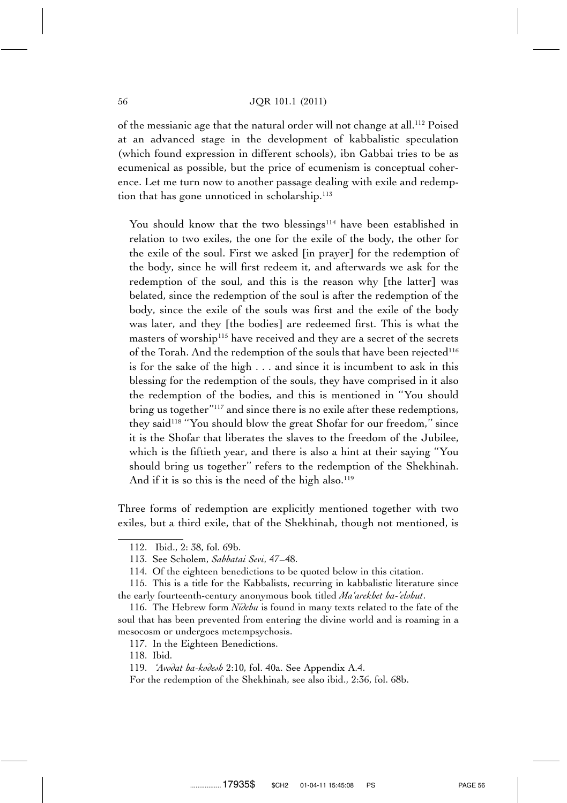#### 56 JQR 101.1 (2011)

of the messianic age that the natural order will not change at all.112 Poised at an advanced stage in the development of kabbalistic speculation (which found expression in different schools), ibn Gabbai tries to be as ecumenical as possible, but the price of ecumenism is conceptual coherence. Let me turn now to another passage dealing with exile and redemption that has gone unnoticed in scholarship.<sup>113</sup>

You should know that the two blessings<sup>114</sup> have been established in relation to two exiles, the one for the exile of the body, the other for the exile of the soul. First we asked [in prayer] for the redemption of the body, since he will first redeem it, and afterwards we ask for the redemption of the soul, and this is the reason why [the latter] was belated, since the redemption of the soul is after the redemption of the body, since the exile of the souls was first and the exile of the body was later, and they [the bodies] are redeemed first. This is what the masters of worship<sup>115</sup> have received and they are a secret of the secrets of the Torah. And the redemption of the souls that have been rejected<sup>116</sup> is for the sake of the high . . . and since it is incumbent to ask in this blessing for the redemption of the souls, they have comprised in it also the redemption of the bodies, and this is mentioned in ''You should bring us together''117 and since there is no exile after these redemptions, they said<sup>118</sup> "You should blow the great Shofar for our freedom," since it is the Shofar that liberates the slaves to the freedom of the Jubilee, which is the fiftieth year, and there is also a hint at their saying ''You should bring us together'' refers to the redemption of the Shekhinah. And if it is so this is the need of the high also.<sup>119</sup>

Three forms of redemption are explicitly mentioned together with two exiles, but a third exile, that of the Shekhinah, though not mentioned, is

118. Ibid.

<sup>112.</sup> Ibid., 2: 38, fol. 69b.

<sup>113.</sup> See Scholem, *Sabbatai Sevi*, 47–48.

<sup>114.</sup> Of the eighteen benedictions to be quoted below in this citation.

<sup>115.</sup> This is a title for the Kabbalists, recurring in kabbalistic literature since the early fourteenth-century anonymous book titled *Ma'arekhet ha-'elohut*.

<sup>116.</sup> The Hebrew form *Nidehu* is found in many texts related to the fate of the soul that has been prevented from entering the divine world and is roaming in a mesocosm or undergoes metempsychosis.

<sup>117.</sup> In the Eighteen Benedictions.

<sup>119.</sup> *'Avodat ha-kodesh* 2:10, fol. 40a. See Appendix A.4.

For the redemption of the Shekhinah, see also ibid., 2:36, fol. 68b.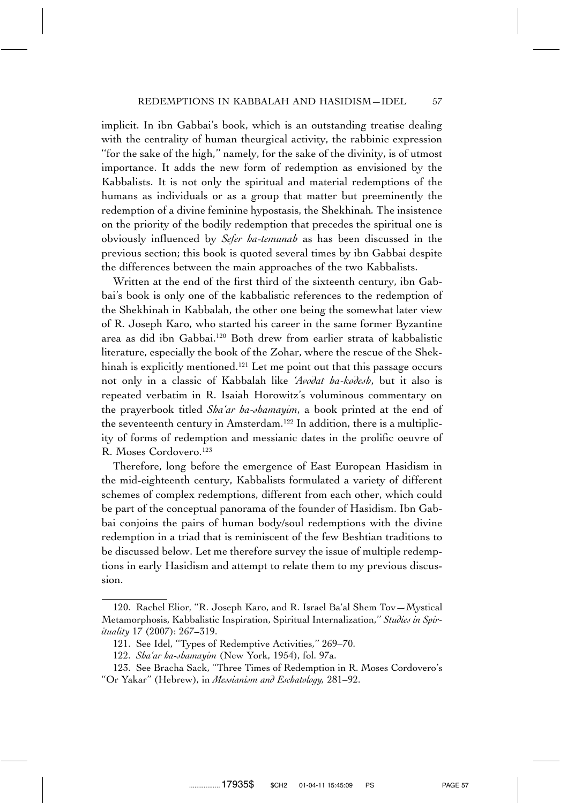implicit. In ibn Gabbai's book, which is an outstanding treatise dealing with the centrality of human theurgical activity, the rabbinic expression ''for the sake of the high,'' namely, for the sake of the divinity, is of utmost importance. It adds the new form of redemption as envisioned by the Kabbalists. It is not only the spiritual and material redemptions of the humans as individuals or as a group that matter but preeminently the redemption of a divine feminine hypostasis, the Shekhinah*.* The insistence on the priority of the bodily redemption that precedes the spiritual one is obviously influenced by *Sefer ha-temunah* as has been discussed in the previous section; this book is quoted several times by ibn Gabbai despite the differences between the main approaches of the two Kabbalists.

Written at the end of the first third of the sixteenth century, ibn Gabbai's book is only one of the kabbalistic references to the redemption of the Shekhinah in Kabbalah, the other one being the somewhat later view of R. Joseph Karo, who started his career in the same former Byzantine area as did ibn Gabbai.120 Both drew from earlier strata of kabbalistic literature, especially the book of the Zohar, where the rescue of the Shekhinah is explicitly mentioned.<sup>121</sup> Let me point out that this passage occurs not only in a classic of Kabbalah like *'Avodat ha-kodesh*, but it also is repeated verbatim in R. Isaiah Horowitz's voluminous commentary on the prayerbook titled *Sha'ar ha-shamayim*, a book printed at the end of the seventeenth century in Amsterdam.<sup>122</sup> In addition, there is a multiplicity of forms of redemption and messianic dates in the prolific oeuvre of R. Moses Cordovero.123

Therefore, long before the emergence of East European Hasidism in the mid-eighteenth century, Kabbalists formulated a variety of different schemes of complex redemptions, different from each other, which could be part of the conceptual panorama of the founder of Hasidism. Ibn Gabbai conjoins the pairs of human body/soul redemptions with the divine redemption in a triad that is reminiscent of the few Beshtian traditions to be discussed below. Let me therefore survey the issue of multiple redemptions in early Hasidism and attempt to relate them to my previous discussion.

<sup>120.</sup> Rachel Elior, ''R. Joseph Karo, and R. Israel Ba'al Shem Tov—Mystical Metamorphosis, Kabbalistic Inspiration, Spiritual Internalization,'' *Studies in Spirituality* 17 (2007): 267–319.

<sup>121.</sup> See Idel, ''Types of Redemptive Activities,'' 269–70.

<sup>122.</sup> *Sha'ar ha-shamayim* (New York, 1954), fol. 97a.

<sup>123.</sup> See Bracha Sack, ''Three Times of Redemption in R. Moses Cordovero's ''Or Yakar'' (Hebrew), in *Messianism and Eschatology,* 281–92.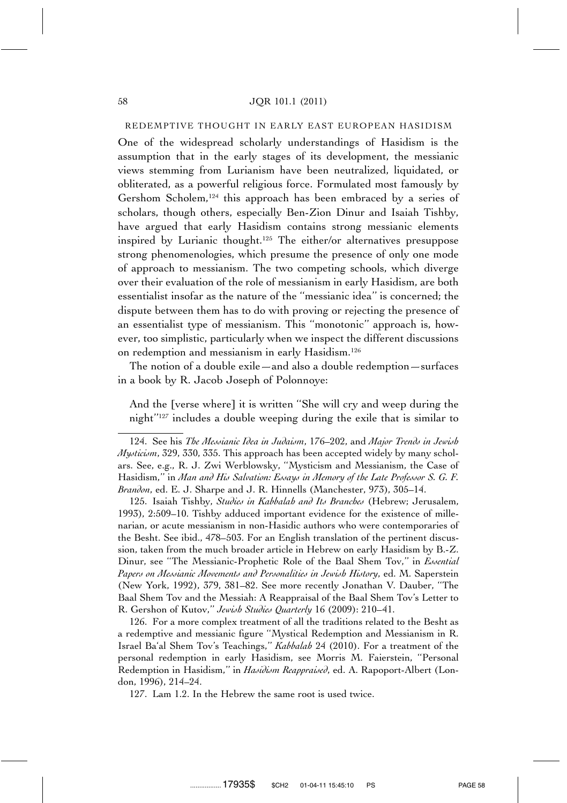#### REDEMPTIVE THOUGHT IN EARLY EAST EUROPEAN HASIDISM

One of the widespread scholarly understandings of Hasidism is the assumption that in the early stages of its development, the messianic views stemming from Lurianism have been neutralized, liquidated, or obliterated, as a powerful religious force. Formulated most famously by Gershom Scholem,<sup>124</sup> this approach has been embraced by a series of scholars, though others, especially Ben-Zion Dinur and Isaiah Tishby, have argued that early Hasidism contains strong messianic elements inspired by Lurianic thought.125 The either/or alternatives presuppose strong phenomenologies, which presume the presence of only one mode of approach to messianism. The two competing schools, which diverge over their evaluation of the role of messianism in early Hasidism, are both essentialist insofar as the nature of the ''messianic idea'' is concerned; the dispute between them has to do with proving or rejecting the presence of an essentialist type of messianism. This ''monotonic'' approach is, however, too simplistic, particularly when we inspect the different discussions on redemption and messianism in early Hasidism.126

The notion of a double exile—and also a double redemption—surfaces in a book by R. Jacob Joseph of Polonnoye:

And the [verse where] it is written ''She will cry and weep during the night''127 includes a double weeping during the exile that is similar to

125. Isaiah Tishby, *Studies in Kabbalah and Its Branches* (Hebrew; Jerusalem, 1993), 2:509–10. Tishby adduced important evidence for the existence of millenarian, or acute messianism in non-Hasidic authors who were contemporaries of the Besht. See ibid., 478–503. For an English translation of the pertinent discussion, taken from the much broader article in Hebrew on early Hasidism by B.-Z. Dinur, see ''The Messianic-Prophetic Role of the Baal Shem Tov,'' in *Essential Papers on Messianic Movements and Personalities in Jewish History*, ed. M. Saperstein (New York, 1992), 379, 381–82. See more recently Jonathan V. Dauber, ''The Baal Shem Tov and the Messiah: A Reappraisal of the Baal Shem Tov's Letter to R. Gershon of Kutov,'' *Jewish Studies Quarterly* 16 (2009): 210–41.

126. For a more complex treatment of all the traditions related to the Besht as a redemptive and messianic figure ''Mystical Redemption and Messianism in R. Israel Ba'al Shem Tov's Teachings,'' *Kabbalah* 24 (2010). For a treatment of the personal redemption in early Hasidism, see Morris M. Faierstein, ''Personal Redemption in Hasidism,'' in *Hasidism Reappraised*, ed. A. Rapoport-Albert (London, 1996), 214–24.

127. Lam 1.2. In the Hebrew the same root is used twice.

<sup>124.</sup> See his *The Messianic Idea in Judaism*, 176–202, and *Major Trends in Jewish Mysticism*, 329, 330, 335. This approach has been accepted widely by many scholars. See, e.g., R. J. Zwi Werblowsky, ''Mysticism and Messianism, the Case of Hasidism,'' in *Man and His Salvation: Essays in Memory of the Late Professor S. G. F. Brandon*, ed. E. J. Sharpe and J. R. Hinnells (Manchester, 973), 305–14.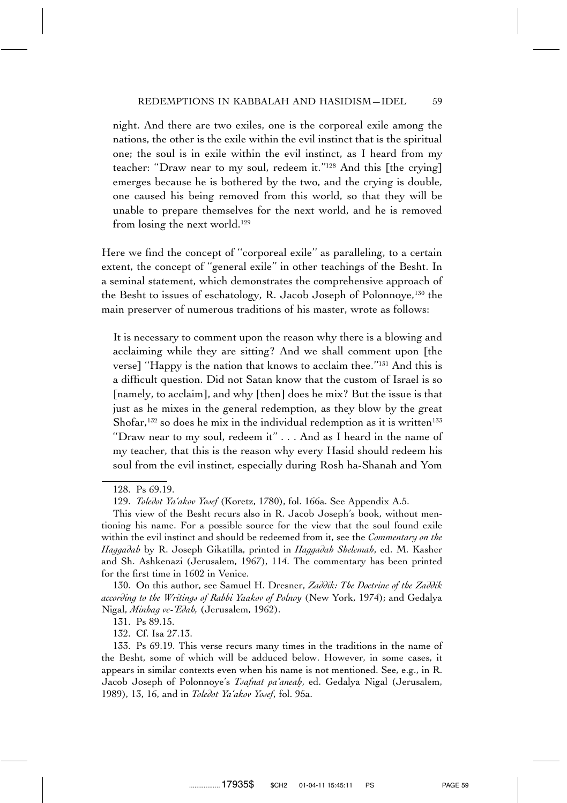night. And there are two exiles, one is the corporeal exile among the nations, the other is the exile within the evil instinct that is the spiritual one; the soul is in exile within the evil instinct, as I heard from my teacher: ''Draw near to my soul, redeem it.''128 And this [the crying] emerges because he is bothered by the two, and the crying is double, one caused his being removed from this world, so that they will be unable to prepare themselves for the next world, and he is removed from losing the next world.<sup>129</sup>

Here we find the concept of ''corporeal exile'' as paralleling, to a certain extent, the concept of ''general exile'' in other teachings of the Besht. In a seminal statement, which demonstrates the comprehensive approach of the Besht to issues of eschatology, R. Jacob Joseph of Polonnoye,130 the main preserver of numerous traditions of his master, wrote as follows:

It is necessary to comment upon the reason why there is a blowing and acclaiming while they are sitting? And we shall comment upon [the verse] ''Happy is the nation that knows to acclaim thee.''131 And this is a difficult question. Did not Satan know that the custom of Israel is so [namely, to acclaim], and why [then] does he mix? But the issue is that just as he mixes in the general redemption, as they blow by the great Shofar,<sup>132</sup> so does he mix in the individual redemption as it is written<sup>133</sup> ''Draw near to my soul, redeem it'' . . . And as I heard in the name of my teacher, that this is the reason why every Hasid should redeem his soul from the evil instinct, especially during Rosh ha-Shanah and Yom

<sup>128.</sup> Ps 69.19.

<sup>129.</sup> *Toledot Ya'akov Yosef* (Koretz, 1780), fol. 166a. See Appendix A.5.

This view of the Besht recurs also in R. Jacob Joseph's book, without mentioning his name. For a possible source for the view that the soul found exile within the evil instinct and should be redeemed from it, see the *Commentary on the Haggadah* by R. Joseph Gikatilla, printed in *Haggadah Shelemah*, ed. M. Kasher and Sh. Ashkenazi (Jerusalem, 1967), 114. The commentary has been printed for the first time in 1602 in Venice.

<sup>130.</sup> On this author, see Samuel H. Dresner, *Zaddik: The Doctrine of the Zaddik according to the Writings of Rabbi Yaakov of Polnoy* (New York, 1974); and Gedalya Nigal, *Minhag ve-'Edah,* (Jerusalem, 1962).

<sup>131.</sup> Ps 89.15.

<sup>132.</sup> Cf. Isa 27.13.

<sup>133.</sup> Ps 69.19. This verse recurs many times in the traditions in the name of the Besht, some of which will be adduced below. However, in some cases, it appears in similar contexts even when his name is not mentioned. See, e.g., in R. Jacob Joseph of Polonnoye's *Toafnat pa'aneah*, ed. Gedalya Nigal (Jerusalem, 1989), 13, 16, and in *Toledot Ya'akov Yosef*, fol. 95a.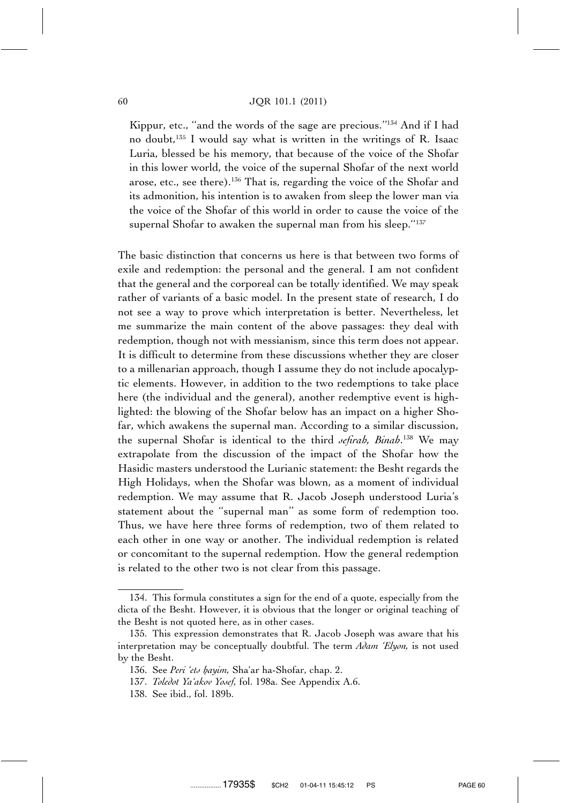#### 60 JQR 101.1 (2011)

Kippur, etc., ''and the words of the sage are precious.''134 And if I had no doubt,135 I would say what is written in the writings of R. Isaac Luria, blessed be his memory, that because of the voice of the Shofar in this lower world, the voice of the supernal Shofar of the next world arose, etc., see there).136 That is, regarding the voice of the Shofar and its admonition, his intention is to awaken from sleep the lower man via the voice of the Shofar of this world in order to cause the voice of the supernal Shofar to awaken the supernal man from his sleep."<sup>137</sup>

The basic distinction that concerns us here is that between two forms of exile and redemption: the personal and the general. I am not confident that the general and the corporeal can be totally identified. We may speak rather of variants of a basic model. In the present state of research, I do not see a way to prove which interpretation is better. Nevertheless, let me summarize the main content of the above passages: they deal with redemption, though not with messianism, since this term does not appear. It is difficult to determine from these discussions whether they are closer to a millenarian approach, though I assume they do not include apocalyptic elements. However, in addition to the two redemptions to take place here (the individual and the general), another redemptive event is highlighted: the blowing of the Shofar below has an impact on a higher Shofar, which awakens the supernal man. According to a similar discussion, the supernal Shofar is identical to the third *sefirah, Binah*. <sup>138</sup> We may extrapolate from the discussion of the impact of the Shofar how the Hasidic masters understood the Lurianic statement: the Besht regards the High Holidays, when the Shofar was blown, as a moment of individual redemption. We may assume that R. Jacob Joseph understood Luria's statement about the ''supernal man'' as some form of redemption too. Thus, we have here three forms of redemption, two of them related to each other in one way or another. The individual redemption is related or concomitant to the supernal redemption. How the general redemption is related to the other two is not clear from this passage.

<sup>134.</sup> This formula constitutes a sign for the end of a quote, especially from the dicta of the Besht. However, it is obvious that the longer or original teaching of the Besht is not quoted here, as in other cases.

<sup>135.</sup> This expression demonstrates that R. Jacob Joseph was aware that his interpretation may be conceptually doubtful. The term *Adam 'Elyon,* is not used by the Besht.

<sup>136.</sup> See *Peri 'ets hayim*, Sha'ar ha-Shofar, chap. 2.

<sup>137.</sup> *Toledot Ya'akov Yosef,* fol. 198a. See Appendix A.6.

<sup>138.</sup> See ibid., fol. 189b.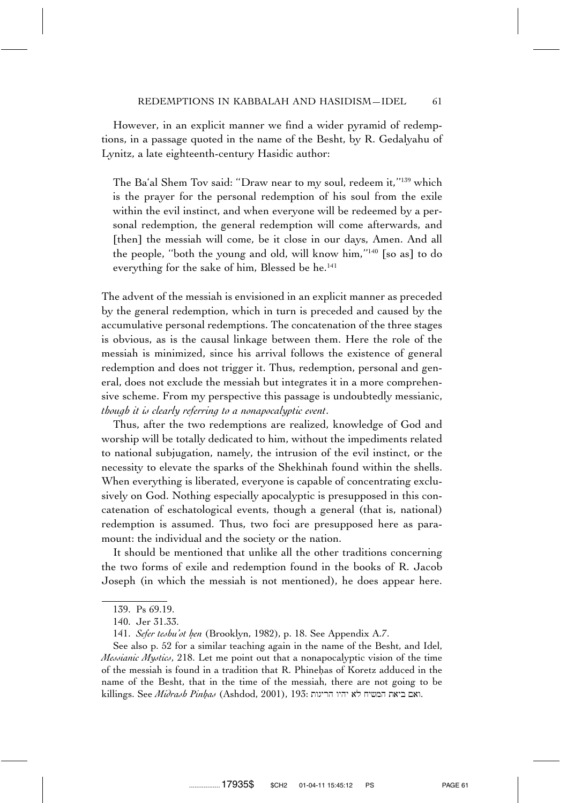However, in an explicit manner we find a wider pyramid of redemptions, in a passage quoted in the name of the Besht, by R. Gedalyahu of Lynitz, a late eighteenth-century Hasidic author:

The Ba'al Shem Tov said: ''Draw near to my soul, redeem it,''139 which is the prayer for the personal redemption of his soul from the exile within the evil instinct, and when everyone will be redeemed by a personal redemption, the general redemption will come afterwards, and [then] the messiah will come, be it close in our days, Amen. And all the people, ''both the young and old, will know him,''140 [so as] to do everything for the sake of him, Blessed be he.<sup>141</sup>

The advent of the messiah is envisioned in an explicit manner as preceded by the general redemption, which in turn is preceded and caused by the accumulative personal redemptions. The concatenation of the three stages is obvious, as is the causal linkage between them. Here the role of the messiah is minimized, since his arrival follows the existence of general redemption and does not trigger it. Thus, redemption, personal and general, does not exclude the messiah but integrates it in a more comprehensive scheme. From my perspective this passage is undoubtedly messianic, *though it is clearly referring to a nonapocalyptic event*.

Thus, after the two redemptions are realized, knowledge of God and worship will be totally dedicated to him, without the impediments related to national subjugation, namely, the intrusion of the evil instinct, or the necessity to elevate the sparks of the Shekhinah found within the shells. When everything is liberated, everyone is capable of concentrating exclusively on God. Nothing especially apocalyptic is presupposed in this concatenation of eschatological events, though a general (that is, national) redemption is assumed. Thus, two foci are presupposed here as paramount: the individual and the society or the nation.

It should be mentioned that unlike all the other traditions concerning the two forms of exile and redemption found in the books of R. Jacob Joseph (in which the messiah is not mentioned), he does appear here.

See also p. 52 for a similar teaching again in the name of the Besht, and Idel, *Messianic Mystics*, 218. Let me point out that a nonapocalyptic vision of the time of the messiah is found in a tradition that R. Phinehas of Koretz adduced in the name of the Besht, that in the time of the messiah, there are not going to be killings. See *Midrash Pinhas* (Ashdod, 2001), 193: האם ביאת המשיח לא יהיו הריגות

<sup>139.</sup> Ps 69.19.

<sup>140.</sup> Jer 31.33.

<sup>141.</sup> *Sefer teshu'ot hen* (Brooklyn, 1982), p. 18. See Appendix A.7.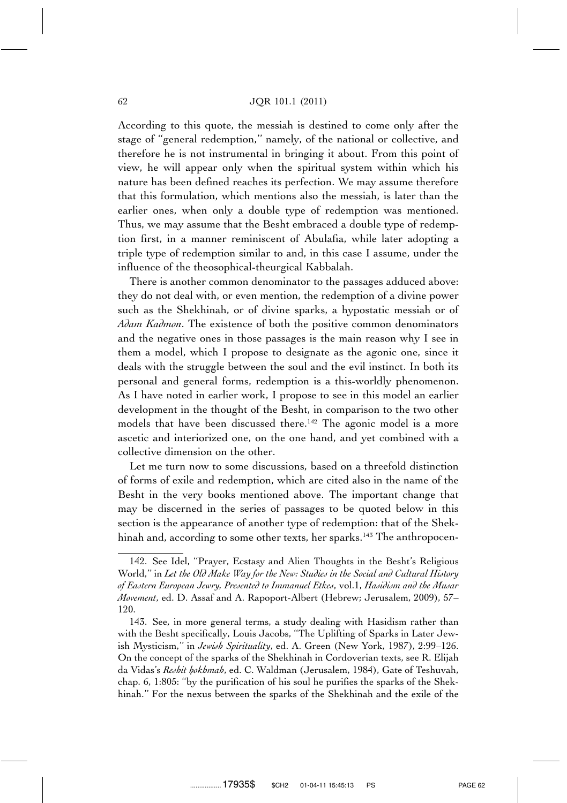According to this quote, the messiah is destined to come only after the stage of ''general redemption,'' namely, of the national or collective, and therefore he is not instrumental in bringing it about. From this point of view, he will appear only when the spiritual system within which his nature has been defined reaches its perfection. We may assume therefore that this formulation, which mentions also the messiah, is later than the earlier ones, when only a double type of redemption was mentioned. Thus, we may assume that the Besht embraced a double type of redemption first, in a manner reminiscent of Abulafia, while later adopting a triple type of redemption similar to and, in this case I assume, under the influence of the theosophical-theurgical Kabbalah.

There is another common denominator to the passages adduced above: they do not deal with, or even mention, the redemption of a divine power such as the Shekhinah, or of divine sparks, a hypostatic messiah or of *Adam Kadmon*. The existence of both the positive common denominators and the negative ones in those passages is the main reason why I see in them a model, which I propose to designate as the agonic one, since it deals with the struggle between the soul and the evil instinct. In both its personal and general forms, redemption is a this-worldly phenomenon. As I have noted in earlier work, I propose to see in this model an earlier development in the thought of the Besht, in comparison to the two other models that have been discussed there.<sup>142</sup> The agonic model is a more ascetic and interiorized one, on the one hand, and yet combined with a collective dimension on the other.

Let me turn now to some discussions, based on a threefold distinction of forms of exile and redemption, which are cited also in the name of the Besht in the very books mentioned above. The important change that may be discerned in the series of passages to be quoted below in this section is the appearance of another type of redemption: that of the Shekhinah and, according to some other texts, her sparks.<sup>143</sup> The anthropocen-

<sup>142.</sup> See Idel, ''Prayer, Ecstasy and Alien Thoughts in the Besht's Religious World,'' in *Let the Old Make Way for the New: Studies in the Social and Cultural History of Eastern European Jewry, Presented to Immanuel Etkes*, vol.1, *Hasidism and the Musar Movement*, ed. D. Assaf and A. Rapoport-Albert (Hebrew; Jerusalem, 2009), 57– 120.

<sup>143.</sup> See, in more general terms, a study dealing with Hasidism rather than with the Besht specifically, Louis Jacobs, ''The Uplifting of Sparks in Later Jewish Mysticism,'' in *Jewish Spirituality*, ed. A. Green (New York, 1987), 2:99–126. On the concept of the sparks of the Shekhinah in Cordoverian texts, see R. Elijah da Vidas's *Reshit hokhmah*, ed. C. Waldman (Jerusalem, 1984), Gate of Teshuvah, chap. 6, 1:805: ''by the purification of his soul he purifies the sparks of the Shekhinah.'' For the nexus between the sparks of the Shekhinah and the exile of the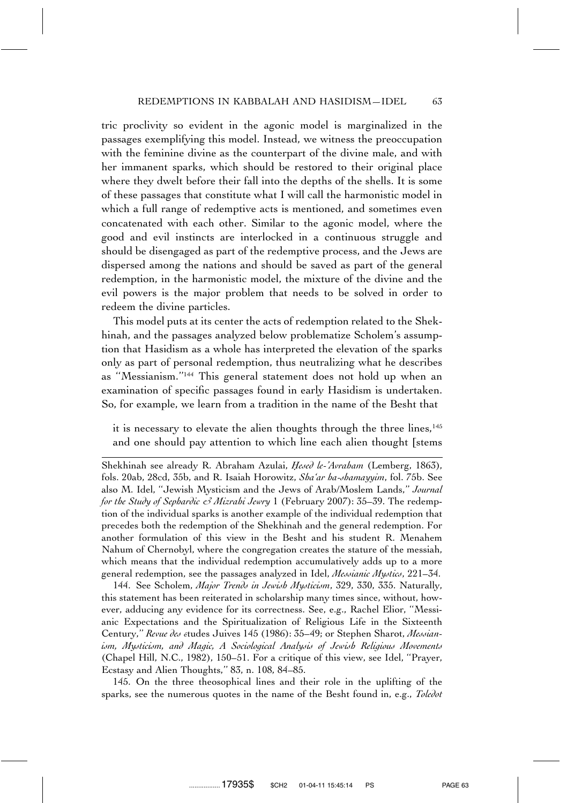tric proclivity so evident in the agonic model is marginalized in the passages exemplifying this model. Instead, we witness the preoccupation with the feminine divine as the counterpart of the divine male, and with her immanent sparks, which should be restored to their original place where they dwelt before their fall into the depths of the shells. It is some of these passages that constitute what I will call the harmonistic model in which a full range of redemptive acts is mentioned, and sometimes even concatenated with each other. Similar to the agonic model, where the good and evil instincts are interlocked in a continuous struggle and should be disengaged as part of the redemptive process, and the Jews are dispersed among the nations and should be saved as part of the general redemption, in the harmonistic model, the mixture of the divine and the evil powers is the major problem that needs to be solved in order to redeem the divine particles.

This model puts at its center the acts of redemption related to the Shekhinah, and the passages analyzed below problematize Scholem's assumption that Hasidism as a whole has interpreted the elevation of the sparks only as part of personal redemption, thus neutralizing what he describes as ''Messianism.''144 This general statement does not hold up when an examination of specific passages found in early Hasidism is undertaken. So, for example, we learn from a tradition in the name of the Besht that

it is necessary to elevate the alien thoughts through the three lines,<sup>145</sup> and one should pay attention to which line each alien thought [stems

Shekhinah see already R. Abraham Azulai, *Hesed le-'Avraham* (Lemberg, 1863), fols. 20ab, 28cd, 35b, and R. Isaiah Horowitz, *Sha'ar ha-shamayyim*, fol. 75b. See also M. Idel, ''Jewish Mysticism and the Jews of Arab/Moslem Lands,'' *Journal for the Study of Sephardic & Mizrahi Jewry* 1 (February 2007): 35–39. The redemption of the individual sparks is another example of the individual redemption that precedes both the redemption of the Shekhinah and the general redemption. For another formulation of this view in the Besht and his student R. Menahem Nahum of Chernobyl, where the congregation creates the stature of the messiah, which means that the individual redemption accumulatively adds up to a more general redemption, see the passages analyzed in Idel, *Messianic Mystics*, 221–34.

144. See Scholem, *Major Trends in Jewish Mysticism*, 329, 330, 335. Naturally, this statement has been reiterated in scholarship many times since, without, however, adducing any evidence for its correctness. See, e.g., Rachel Elior, ''Messianic Expectations and the Spiritualization of Religious Life in the Sixteenth Century," Revue des etudes Juives 145 (1986): 35–49; or Stephen Sharot, Messian*ism, Mysticism, and Magic, A Sociological Analysis of Jewish Religious Movements* (Chapel Hill, N.C., 1982), 150–51. For a critique of this view, see Idel, ''Prayer, Ecstasy and Alien Thoughts,'' 83, n. 108, 84–85.

145. On the three theosophical lines and their role in the uplifting of the sparks, see the numerous quotes in the name of the Besht found in, e.g., *Toledot*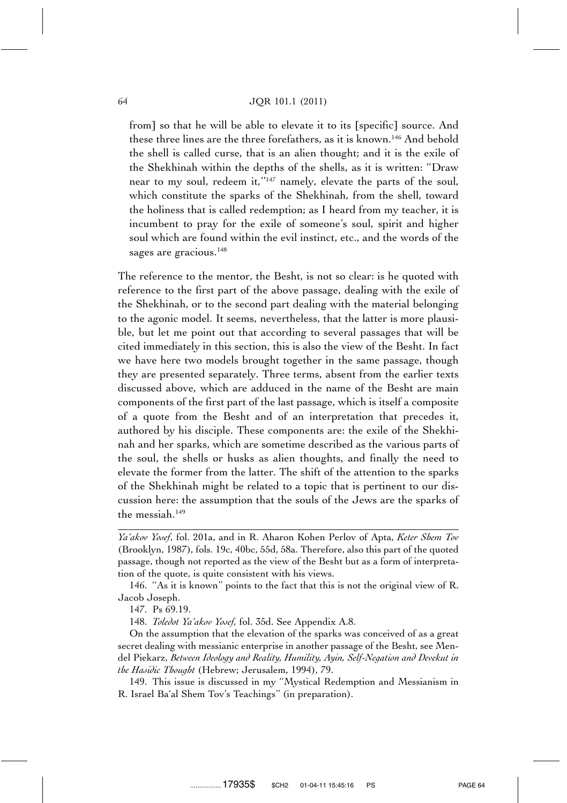#### 64 JQR 101.1 (2011)

from] so that he will be able to elevate it to its [specific] source. And these three lines are the three forefathers, as it is known.146 And behold the shell is called curse, that is an alien thought; and it is the exile of the Shekhinah within the depths of the shells, as it is written: ''Draw near to my soul, redeem it,"<sup>147</sup> namely, elevate the parts of the soul, which constitute the sparks of the Shekhinah, from the shell, toward the holiness that is called redemption; as I heard from my teacher, it is incumbent to pray for the exile of someone's soul, spirit and higher soul which are found within the evil instinct, etc., and the words of the sages are gracious.<sup>148</sup>

The reference to the mentor, the Besht, is not so clear: is he quoted with reference to the first part of the above passage, dealing with the exile of the Shekhinah, or to the second part dealing with the material belonging to the agonic model. It seems, nevertheless, that the latter is more plausible, but let me point out that according to several passages that will be cited immediately in this section, this is also the view of the Besht. In fact we have here two models brought together in the same passage, though they are presented separately. Three terms, absent from the earlier texts discussed above, which are adduced in the name of the Besht are main components of the first part of the last passage, which is itself a composite of a quote from the Besht and of an interpretation that precedes it, authored by his disciple. These components are: the exile of the Shekhinah and her sparks, which are sometime described as the various parts of the soul, the shells or husks as alien thoughts, and finally the need to elevate the former from the latter. The shift of the attention to the sparks of the Shekhinah might be related to a topic that is pertinent to our discussion here: the assumption that the souls of the Jews are the sparks of the messiah.149

147. Ps 69.19.

148. *Toledot Ya'akov Yosef,* fol. 35d. See Appendix A.8.

*Ya'akov Yosef*, fol. 201a, and in R. Aharon Kohen Perlov of Apta, *Keter Shem Tov* (Brooklyn, 1987), fols. 19c, 40bc, 55d, 58a. Therefore, also this part of the quoted passage, though not reported as the view of the Besht but as a form of interpretation of the quote, is quite consistent with his views.

<sup>146. &#</sup>x27;'As it is known'' points to the fact that this is not the original view of R. Jacob Joseph.

On the assumption that the elevation of the sparks was conceived of as a great secret dealing with messianic enterprise in another passage of the Besht, see Mendel Piekarz, *Between Ideology and Reality, Humility, Ayin, Self-Negation and Devekut in the Hasidic Thought* (Hebrew; Jerusalem, 1994), 79.

<sup>149.</sup> This issue is discussed in my ''Mystical Redemption and Messianism in R. Israel Ba'al Shem Tov's Teachings'' (in preparation).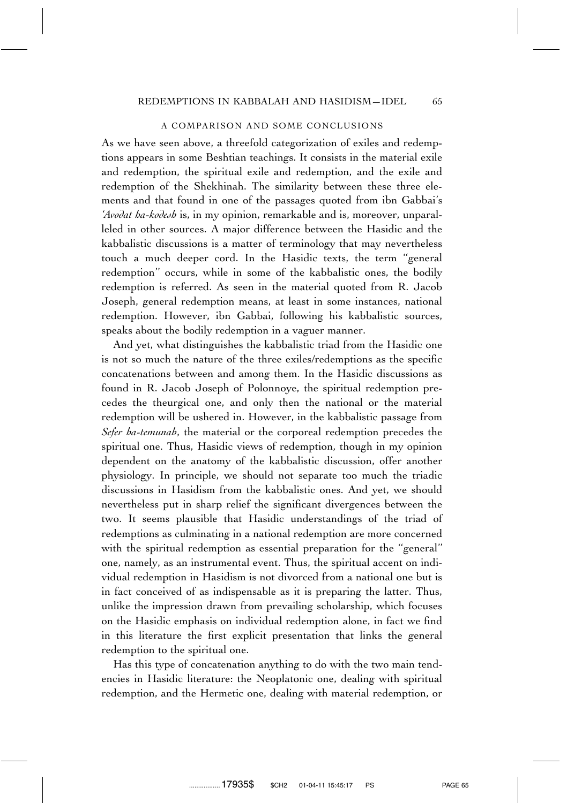#### A COMPARISON AND SOME CONCLUSIONS

As we have seen above, a threefold categorization of exiles and redemptions appears in some Beshtian teachings. It consists in the material exile and redemption, the spiritual exile and redemption, and the exile and redemption of the Shekhinah. The similarity between these three elements and that found in one of the passages quoted from ibn Gabbai's *'Avodat ha-kodesh* is, in my opinion, remarkable and is, moreover, unparalleled in other sources. A major difference between the Hasidic and the kabbalistic discussions is a matter of terminology that may nevertheless touch a much deeper cord. In the Hasidic texts, the term ''general redemption'' occurs, while in some of the kabbalistic ones, the bodily redemption is referred. As seen in the material quoted from R. Jacob Joseph, general redemption means, at least in some instances, national redemption. However, ibn Gabbai, following his kabbalistic sources, speaks about the bodily redemption in a vaguer manner.

And yet, what distinguishes the kabbalistic triad from the Hasidic one is not so much the nature of the three exiles/redemptions as the specific concatenations between and among them. In the Hasidic discussions as found in R. Jacob Joseph of Polonnoye, the spiritual redemption precedes the theurgical one, and only then the national or the material redemption will be ushered in. However, in the kabbalistic passage from *Sefer ha-temunah*, the material or the corporeal redemption precedes the spiritual one. Thus, Hasidic views of redemption, though in my opinion dependent on the anatomy of the kabbalistic discussion, offer another physiology. In principle, we should not separate too much the triadic discussions in Hasidism from the kabbalistic ones. And yet, we should nevertheless put in sharp relief the significant divergences between the two. It seems plausible that Hasidic understandings of the triad of redemptions as culminating in a national redemption are more concerned with the spiritual redemption as essential preparation for the "general" one, namely, as an instrumental event. Thus, the spiritual accent on individual redemption in Hasidism is not divorced from a national one but is in fact conceived of as indispensable as it is preparing the latter. Thus, unlike the impression drawn from prevailing scholarship, which focuses on the Hasidic emphasis on individual redemption alone, in fact we find in this literature the first explicit presentation that links the general redemption to the spiritual one.

Has this type of concatenation anything to do with the two main tendencies in Hasidic literature: the Neoplatonic one, dealing with spiritual redemption, and the Hermetic one, dealing with material redemption, or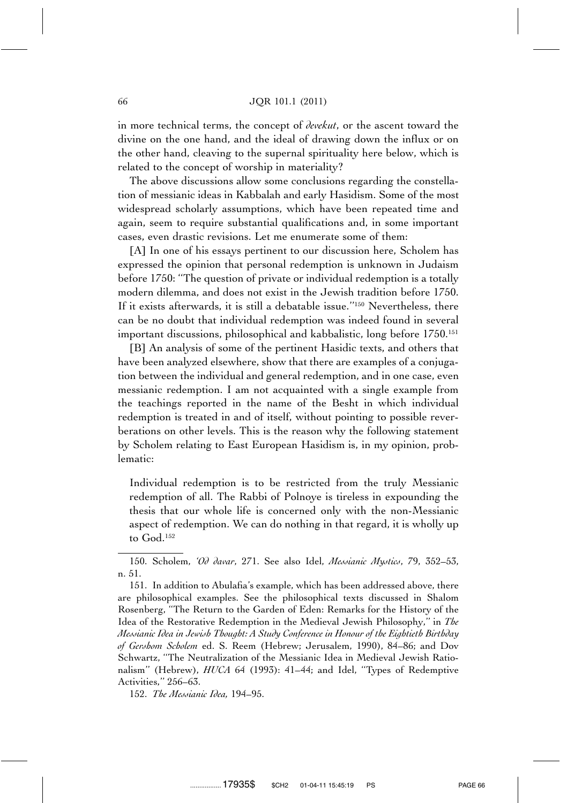in more technical terms, the concept of *devekut*, or the ascent toward the divine on the one hand, and the ideal of drawing down the influx or on the other hand, cleaving to the supernal spirituality here below, which is related to the concept of worship in materiality?

The above discussions allow some conclusions regarding the constellation of messianic ideas in Kabbalah and early Hasidism. Some of the most widespread scholarly assumptions, which have been repeated time and again, seem to require substantial qualifications and, in some important cases, even drastic revisions. Let me enumerate some of them:

[A] In one of his essays pertinent to our discussion here, Scholem has expressed the opinion that personal redemption is unknown in Judaism before 1750: ''The question of private or individual redemption is a totally modern dilemma, and does not exist in the Jewish tradition before 1750. If it exists afterwards, it is still a debatable issue.''150 Nevertheless, there can be no doubt that individual redemption was indeed found in several important discussions, philosophical and kabbalistic, long before 1750.<sup>151</sup>

[B] An analysis of some of the pertinent Hasidic texts, and others that have been analyzed elsewhere, show that there are examples of a conjugation between the individual and general redemption, and in one case, even messianic redemption. I am not acquainted with a single example from the teachings reported in the name of the Besht in which individual redemption is treated in and of itself, without pointing to possible reverberations on other levels. This is the reason why the following statement by Scholem relating to East European Hasidism is, in my opinion, problematic:

Individual redemption is to be restricted from the truly Messianic redemption of all. The Rabbi of Polnoye is tireless in expounding the thesis that our whole life is concerned only with the non-Messianic aspect of redemption. We can do nothing in that regard, it is wholly up to God.152

151. In addition to Abulafia's example, which has been addressed above, there are philosophical examples. See the philosophical texts discussed in Shalom Rosenberg, ''The Return to the Garden of Eden: Remarks for the History of the Idea of the Restorative Redemption in the Medieval Jewish Philosophy,'' in *The Messianic Idea in Jewish Thought: A Study Conference in Honour of the Eightieth Birthday of Gershom Scholem* ed. S. Reem (Hebrew; Jerusalem, 1990), 84–86; and Dov Schwartz, ''The Neutralization of the Messianic Idea in Medieval Jewish Rationalism'' (Hebrew), *HUCA* 64 (1993): 41–44; and Idel, ''Types of Redemptive Activities,'' 256–63.

152. *The Messianic Idea,* 194–95.

<sup>150.</sup> Scholem, *'Od davar*, 271. See also Idel, *Messianic Mystics*, 79, 352–53, n. 51.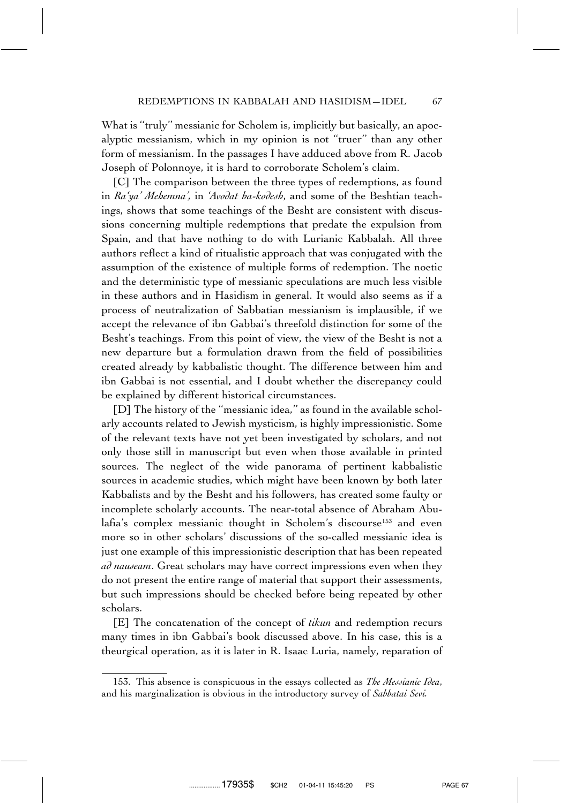What is "truly" messianic for Scholem is, implicitly but basically, an apocalyptic messianism, which in my opinion is not ''truer'' than any other form of messianism. In the passages I have adduced above from R. Jacob Joseph of Polonnoye, it is hard to corroborate Scholem's claim.

[C] The comparison between the three types of redemptions, as found in *Ra'ya' Mehemna',* in *'Avodat ha-kodesh*, and some of the Beshtian teachings, shows that some teachings of the Besht are consistent with discussions concerning multiple redemptions that predate the expulsion from Spain, and that have nothing to do with Lurianic Kabbalah. All three authors reflect a kind of ritualistic approach that was conjugated with the assumption of the existence of multiple forms of redemption. The noetic and the deterministic type of messianic speculations are much less visible in these authors and in Hasidism in general. It would also seems as if a process of neutralization of Sabbatian messianism is implausible, if we accept the relevance of ibn Gabbai's threefold distinction for some of the Besht's teachings. From this point of view, the view of the Besht is not a new departure but a formulation drawn from the field of possibilities created already by kabbalistic thought. The difference between him and ibn Gabbai is not essential, and I doubt whether the discrepancy could be explained by different historical circumstances.

[D] The history of the ''messianic idea,'' as found in the available scholarly accounts related to Jewish mysticism, is highly impressionistic. Some of the relevant texts have not yet been investigated by scholars, and not only those still in manuscript but even when those available in printed sources. The neglect of the wide panorama of pertinent kabbalistic sources in academic studies, which might have been known by both later Kabbalists and by the Besht and his followers, has created some faulty or incomplete scholarly accounts. The near-total absence of Abraham Abulafia's complex messianic thought in Scholem's discourse<sup>153</sup> and even more so in other scholars' discussions of the so-called messianic idea is just one example of this impressionistic description that has been repeated *ad nauseam*. Great scholars may have correct impressions even when they do not present the entire range of material that support their assessments, but such impressions should be checked before being repeated by other scholars.

[E] The concatenation of the concept of *tikun* and redemption recurs many times in ibn Gabbai's book discussed above. In his case, this is a theurgical operation, as it is later in R. Isaac Luria, namely, reparation of

<sup>153.</sup> This absence is conspicuous in the essays collected as *The Messianic Idea*, and his marginalization is obvious in the introductory survey of *Sabbatai Sevi.*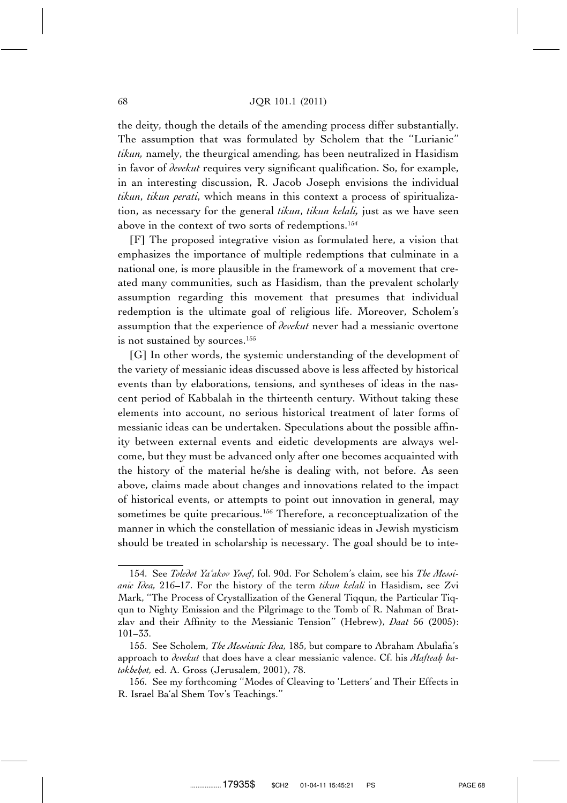the deity, though the details of the amending process differ substantially. The assumption that was formulated by Scholem that the ''Lurianic'' *tikun,* namely, the theurgical amending*,* has been neutralized in Hasidism in favor of *devekut* requires very significant qualification. So, for example, in an interesting discussion, R. Jacob Joseph envisions the individual *tikun*, *tikun perati*, which means in this context a process of spiritualization, as necessary for the general *tikun*, *tikun kelali,* just as we have seen above in the context of two sorts of redemptions.154

[F] The proposed integrative vision as formulated here, a vision that emphasizes the importance of multiple redemptions that culminate in a national one, is more plausible in the framework of a movement that created many communities, such as Hasidism, than the prevalent scholarly assumption regarding this movement that presumes that individual redemption is the ultimate goal of religious life. Moreover, Scholem's assumption that the experience of *devekut* never had a messianic overtone is not sustained by sources.<sup>155</sup>

[G] In other words, the systemic understanding of the development of the variety of messianic ideas discussed above is less affected by historical events than by elaborations, tensions, and syntheses of ideas in the nascent period of Kabbalah in the thirteenth century. Without taking these elements into account, no serious historical treatment of later forms of messianic ideas can be undertaken. Speculations about the possible affinity between external events and eidetic developments are always welcome, but they must be advanced only after one becomes acquainted with the history of the material he/she is dealing with, not before. As seen above, claims made about changes and innovations related to the impact of historical events, or attempts to point out innovation in general, may sometimes be quite precarious.<sup>156</sup> Therefore, a reconceptualization of the manner in which the constellation of messianic ideas in Jewish mysticism should be treated in scholarship is necessary. The goal should be to inte-

<sup>154.</sup> See *Toledot Ya'akov Yosef*, fol. 90d. For Scholem's claim, see his *The Messianic Idea,* 216–17. For the history of the term *tikun kelali* in Hasidism, see Zvi Mark, ''The Process of Crystallization of the General Tiqqun, the Particular Tiqqun to Nighty Emission and the Pilgrimage to the Tomb of R. Nahman of Bratzlav and their Affinity to the Messianic Tension'' (Hebrew), *Daat* 56 (2005): 101–33.

<sup>155.</sup> See Scholem, *The Messianic Idea,* 185, but compare to Abraham Abulafia's approach to *devekut* that does have a clear messianic valence. Cf. his *Mafteah ha*tokhehot, ed. A. Gross (Jerusalem, 2001), 78.

<sup>156.</sup> See my forthcoming ''Modes of Cleaving to 'Letters' and Their Effects in R. Israel Ba'al Shem Tov's Teachings.''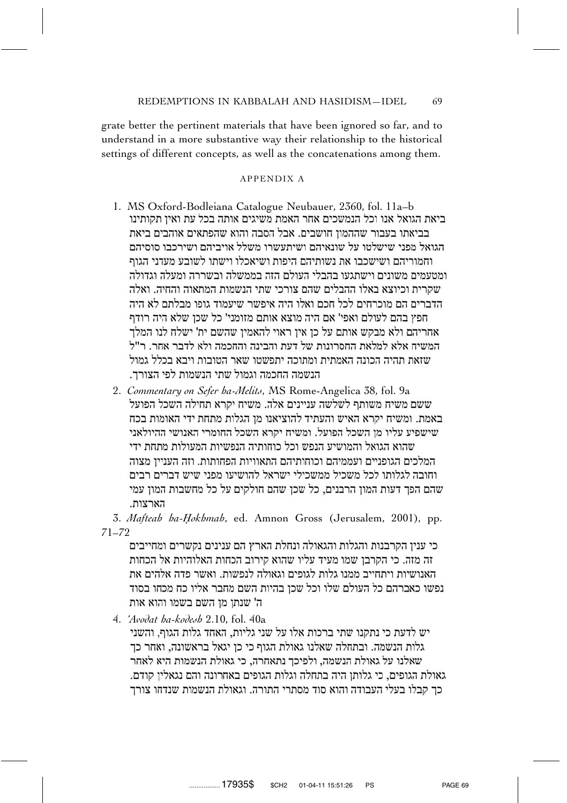grate better the pertinent materials that have been ignored so far, and to understand in a more substantive way their relationship to the historical settings of different concepts, as well as the concatenations among them.

### APPENDIX A

- 1. MS Oxford-Bodleiana Catalogue Neubauer, 2360, fol. 11a–b בביאתו בעבור שההמוז חושבים. אבל הסבה והוא שהפתאים אוהבים ביאת הגואל מפני שישלטו על שונאיהם ושיתעשרו משלל אויביהם ושירכבו סוסיהם וחמוריהם ושישכבו את נשותיהם היפות ושיאכלו וישתו לשובע מעדני הגוף ומטעמים משונים וישתגעו בהבלי העולם הזה בממשלה ובשררה ומעלה וגדולה שקרית וכיוצא באלו ההבלים שהם צורכי שתי הנשמות המתאוה והחיה. ואלה הדברים הם מוכרחים לכל חכם ואלו היה איפשר שיעמוד גופו מבלתם לא היה חפץ בהם לעולם ואפי' אם היה מוצא אותם מזומני' כל שכן שלא היה רודף אחריהם ולא מבקש אותם על כן אין ראוי להאמין שהשם ית' ישלח לנו המלך המשיח אלא למלאת החסרונות של דעת והבינה והחכמה ולא לדבר אחר. ר"ל שזאת תהיה הכונה האמתית ומתוכה יתפשטו שאר הטובות ויבא בכלל גמול הנשמה החכמה וגמול שתי הנשמות לפי הצורך.
- 2. *Commentary on Sefer ha-Melits*, MS Rome-Angelica 38, fol. 9a ששם משיח משותף לשלשה עניינים אלה. משיח יקרא תחילה השכל הפועל באמת. ומשיח יקרא האיש והעתיד להוציאנו מן הגלות מתחת ידי האומות בכח שישפיע עליו מן השכל הפועל. ומשיח יקרא השכל החומרי האנושי ההיולאני שהוא הגואל והמושיע הנפש וכל כוחותיה הנפשיות המעולות מתחת ידי המלכים הגופניים ועממיהם וכוחותיהם התאוויות הפחותות. וזה הענייו מצוה וחובה לגלותו לכל משכיל ממשכילי ישראל להושיעו מפני שיש דברים רבים שהם הפך דעות המון הרבנים, כל שכן שהם חולקים על כל מחשבות המון עמי הארצות.

3. *Mafteah ha-H. okhmah*, ed. Amnon Gross (Jerusalem, 2001), pp. 71–72

זה מזה. כי הקרבן שמו מעיד עליו שהוא קירוב הכחות האלוהיות אל הכחות האנושיות ויתחייב ממנו גלות לגופים וגאולה לנפשות, ואשר פדה אלהים את נפשו כאברהם כל העולם שלו וכל שכו בהיות השם מחבר אליו כח מכחו בסוד ה' שנתו מו השם בשמו והוא אות

4. *'Avodat ha-kodesh* 2.10, fol. 40a

יש לדעת כי נתקנו שתי ברכות אלו על שני גליות, האחד גלות הגוף, והשני גלות הנשמה. ובתחלה שאלנו גאולת הגוף כי כז יגאל בראשונה. ואחר כד שאלנו על גאולת הנשמה, ולפיכך נתאחרה, כי גאולת הנשמות היא לאחר גאולת הגופים. כי גלותו היה בתחלה וגלות הגופים באחרונה והם נגאליו קודם. כך קבלו בעלי העבודה והוא סוד מסתרי התורה. וגאולת הנשמות שנדחו צורך